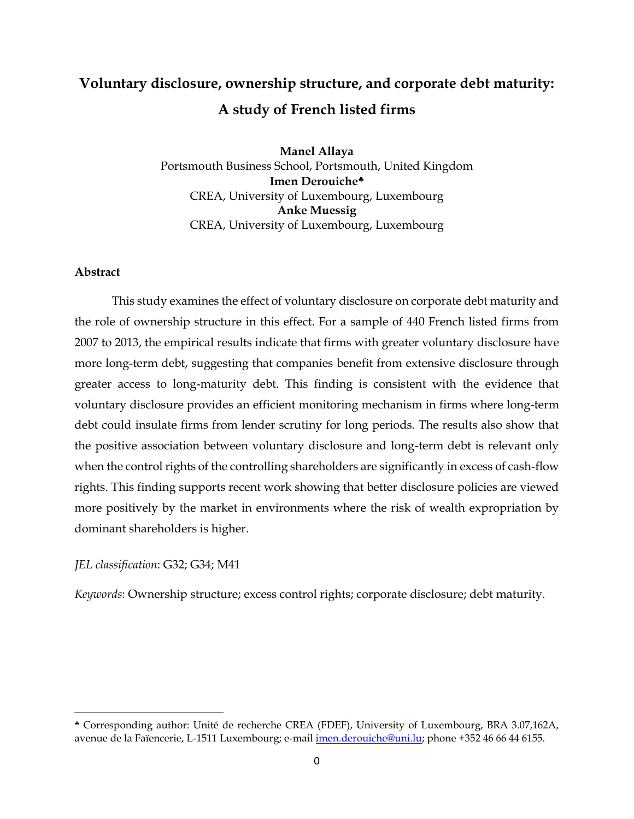# **Voluntary disclosure, ownership structure, and corporate debt maturity: A study of French listed firms**

**Manel Allaya** Portsmouth Business School, Portsmouth, United Kingdom **Imen Derouiche** CREA, University of Luxembourg, Luxembourg **Anke Muessig** CREA, University of Luxembourg, Luxembourg

# **Abstract**

 $\overline{a}$ 

This study examines the effect of voluntary disclosure on corporate debt maturity and the role of ownership structure in this effect. For a sample of 440 French listed firms from 2007 to 2013, the empirical results indicate that firms with greater voluntary disclosure have more long-term debt, suggesting that companies benefit from extensive disclosure through greater access to long-maturity debt. This finding is consistent with the evidence that voluntary disclosure provides an efficient monitoring mechanism in firms where long-term debt could insulate firms from lender scrutiny for long periods. The results also show that the positive association between voluntary disclosure and long-term debt is relevant only when the control rights of the controlling shareholders are significantly in excess of cash-flow rights. This finding supports recent work showing that better disclosure policies are viewed more positively by the market in environments where the risk of wealth expropriation by dominant shareholders is higher.

# *JEL classification*: G32; G34; M41

*Keywords*: Ownership structure; excess control rights; corporate disclosure; debt maturity.

Corresponding author: Unité de recherche CREA (FDEF), University of Luxembourg, BRA 3.07,162A, avenue de la Faïencerie, L-1511 Luxembourg; e-mail [imen.derouiche@uni.lu;](mailto:imen.derouiche@uni.lu) phone +352 46 66 44 6155.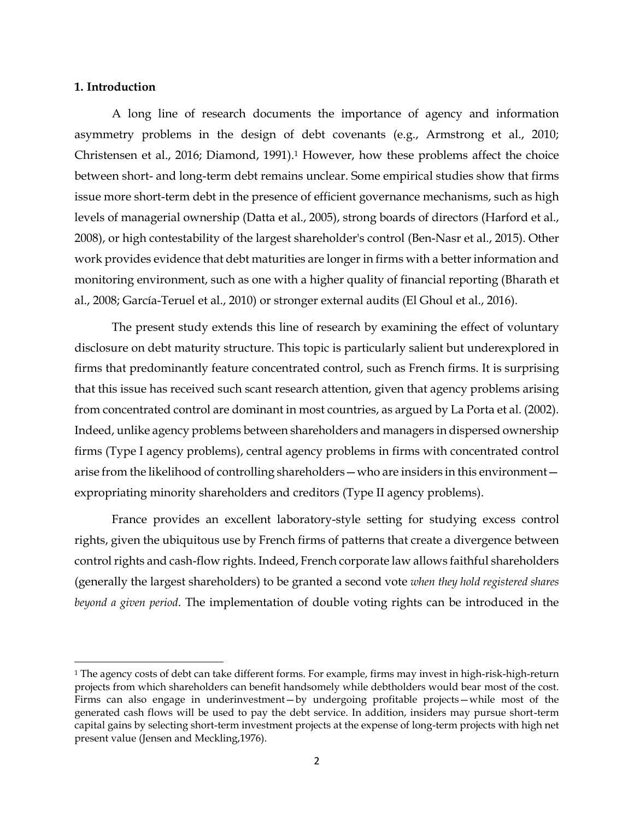#### **1. Introduction**

 $\overline{\phantom{a}}$ 

A long line of research documents the importance of agency and information asymmetry problems in the design of debt covenants (e.g., Armstrong et al., 2010; Christensen et al., 2016; Diamond, 1991).<sup>1</sup> However, how these problems affect the choice between short- and long-term debt remains unclear. Some empirical studies show that firms issue more short-term debt in the presence of efficient governance mechanisms, such as high levels of managerial ownership (Datta et al., 2005), strong boards of directors (Harford et al., 2008), or high contestability of the largest shareholder's control (Ben-Nasr et al., 2015). Other work provides evidence that debt maturities are longer in firms with a better information and monitoring environment, such as one with a higher quality of financial reporting (Bharath et al., 2008; García-Teruel et al., 2010) or stronger external audits (El Ghoul et al., 2016).

The present study extends this line of research by examining the effect of voluntary disclosure on debt maturity structure. This topic is particularly salient but underexplored in firms that predominantly feature concentrated control, such as French firms. It is surprising that this issue has received such scant research attention, given that agency problems arising from concentrated control are dominant in most countries, as argued by La Porta et al. (2002). Indeed, unlike agency problems between shareholders and managers in dispersed ownership firms (Type I agency problems), central agency problems in firms with concentrated control arise from the likelihood of controlling shareholders—who are insiders in this environment expropriating minority shareholders and creditors (Type II agency problems).

France provides an excellent laboratory-style setting for studying excess control rights, given the ubiquitous use by French firms of patterns that create a divergence between control rights and cash-flow rights. Indeed, French corporate law allows faithful shareholders (generally the largest shareholders) to be granted a second vote *when they hold registered shares beyond a given period*. The implementation of double voting rights can be introduced in the

 $1$  The agency costs of debt can take different forms. For example, firms may invest in high-risk-high-return projects from which shareholders can benefit handsomely while debtholders would bear most of the cost. Firms can also engage in underinvestment—by undergoing profitable projects—while most of the generated cash flows will be used to pay the debt service. In addition, insiders may pursue short-term capital gains by selecting short-term investment projects at the expense of long-term projects with high net present value (Jensen and Meckling,1976).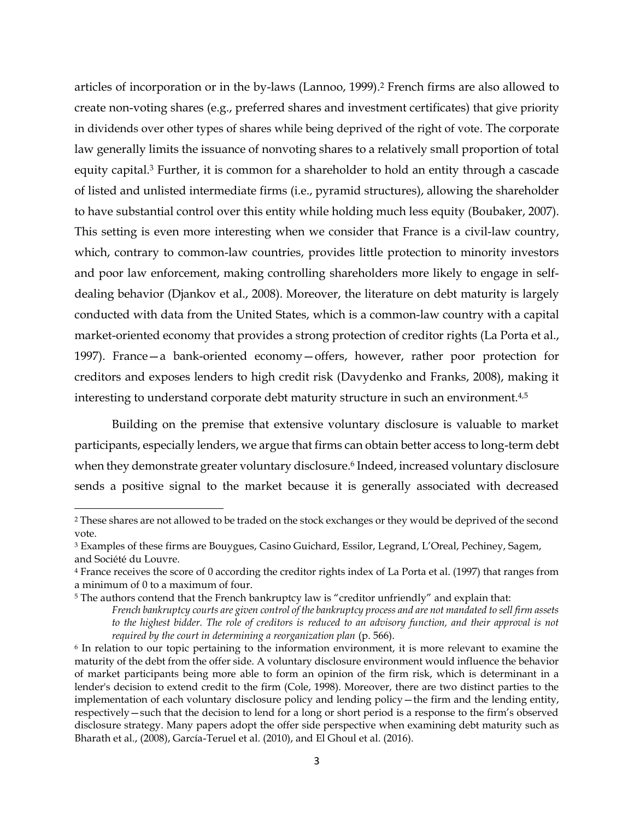articles of incorporation or in the by-laws (Lannoo, 1999).<sup>2</sup> French firms are also allowed to create non-voting shares (e.g., preferred shares and investment certificates) that give priority in dividends over other types of shares while being deprived of the right of vote. The corporate law generally limits the issuance of nonvoting shares to a relatively small proportion of total equity capital.<sup>3</sup> Further, it is common for a shareholder to hold an entity through a cascade of listed and unlisted intermediate firms (i.e., pyramid structures), allowing the shareholder to have substantial control over this entity while holding much less equity (Boubaker, 2007). This setting is even more interesting when we consider that France is a civil-law country, which, contrary to common-law countries, provides little protection to minority investors and poor law enforcement, making controlling shareholders more likely to engage in selfdealing behavior (Djankov et al., 2008). Moreover, the literature on debt maturity is largely conducted with data from the United States, which is a common-law country with a capital market-oriented economy that provides a strong protection of creditor rights (La Porta et al., 1997). France—a bank-oriented economy—offers, however, rather poor protection for creditors and exposes lenders to high credit risk (Davydenko and Franks, 2008), making it interesting to understand corporate debt maturity structure in such an environment.<sup>4,5</sup>

Building on the premise that extensive voluntary disclosure is valuable to market participants, especially lenders, we argue that firms can obtain better access to long-term debt when they demonstrate greater voluntary disclosure.<sup>6</sup> Indeed, increased voluntary disclosure sends a positive signal to the market because it is generally associated with decreased

 $\overline{\phantom{a}}$ 

<sup>&</sup>lt;sup>2</sup> These shares are not allowed to be traded on the stock exchanges or they would be deprived of the second vote.

<sup>3</sup> Examples of these firms are Bouygues, Casino Guichard, Essilor, Legrand, L'Oreal, Pechiney, Sagem, and Société du Louvre.

<sup>4</sup> France receives the score of 0 according the creditor rights index of La Porta et al. (1997) that ranges from a minimum of 0 to a maximum of four.

<sup>&</sup>lt;sup>5</sup> The authors contend that the French bankruptcy law is "creditor unfriendly" and explain that:

*French bankruptcy courts are given control of the bankruptcy process and are not mandated to sell firm assets to the highest bidder. The role of creditors is reduced to an advisory function, and their approval is not required by the court in determining a reorganization plan* (p. 566).

<sup>6</sup> In relation to our topic pertaining to the information environment, it is more relevant to examine the maturity of the debt from the offer side. A voluntary disclosure environment would influence the behavior of market participants being more able to form an opinion of the firm risk, which is determinant in a lender's decision to extend credit to the firm (Cole, 1998). Moreover, there are two distinct parties to the implementation of each voluntary disclosure policy and lending policy—the firm and the lending entity, respectively—such that the decision to lend for a long or short period is a response to the firm's observed disclosure strategy. Many papers adopt the offer side perspective when examining debt maturity such as Bharath et al., (2008), García-Teruel et al. (2010), and El Ghoul et al. (2016).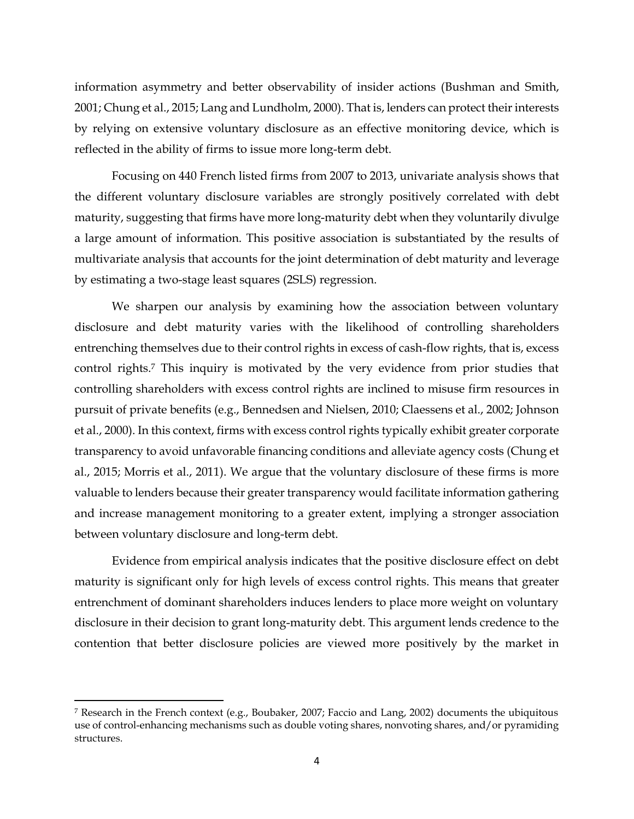information asymmetry and better observability of insider actions (Bushman and Smith, 2001; Chung et al., 2015; Lang an[d Lundholm,](https://scholar.google.lu/citations?user=igcXitsAAAAJ&hl=fr&oi=sra) 2000). That is, lenders can protect their interests by relying on extensive voluntary disclosure as an effective monitoring device, which is reflected in the ability of firms to issue more long-term debt.

Focusing on 440 French listed firms from 2007 to 2013, univariate analysis shows that the different voluntary disclosure variables are strongly positively correlated with debt maturity, suggesting that firms have more long-maturity debt when they voluntarily divulge a large amount of information. This positive association is substantiated by the results of multivariate analysis that accounts for the joint determination of debt maturity and leverage by estimating a two-stage least squares (2SLS) regression.

We sharpen our analysis by examining how the association between voluntary disclosure and debt maturity varies with the likelihood of controlling shareholders entrenching themselves due to their control rights in excess of cash-flow rights, that is, excess control rights.<sup>7</sup> This inquiry is motivated by the very evidence from prior studies that controlling shareholders with excess control rights are inclined to misuse firm resources in pursuit of private benefits (e.g., Bennedsen and Nielsen, 2010; Claessens et al., 2002; Johnson et al., 2000). In this context, firms with excess control rights typically exhibit greater corporate transparency to avoid unfavorable financing conditions and alleviate agency costs (Chung et al., 2015; Morris et al., 2011). We argue that the voluntary disclosure of these firms is more valuable to lenders because their greater transparency would facilitate information gathering and increase management monitoring to a greater extent, implying a stronger association between voluntary disclosure and long-term debt.

Evidence from empirical analysis indicates that the positive disclosure effect on debt maturity is significant only for high levels of excess control rights. This means that greater entrenchment of dominant shareholders induces lenders to place more weight on voluntary disclosure in their decision to grant long-maturity debt. This argument lends credence to the contention that better disclosure policies are viewed more positively by the market in

 $\overline{a}$ 

<sup>7</sup> Research in the French context (e.g., Boubaker, 2007; Faccio and Lang, 2002) documents the ubiquitous use of control-enhancing mechanisms such as double voting shares, nonvoting shares, and/or pyramiding structures.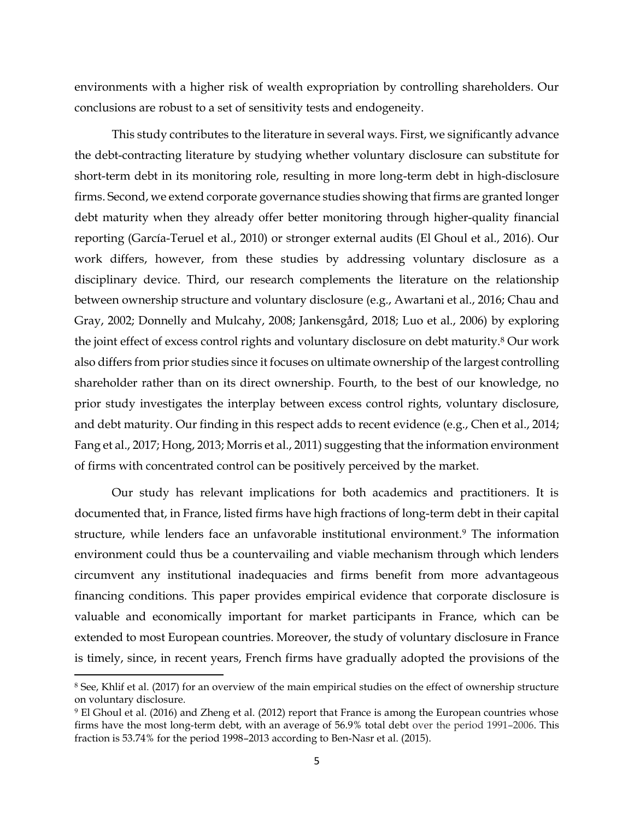environments with a higher risk of wealth expropriation by controlling shareholders. Our conclusions are robust to a set of sensitivity tests and endogeneity.

This study contributes to the literature in several ways. First, we significantly advance the debt-contracting literature by studying whether voluntary disclosure can substitute for short-term debt in its monitoring role, resulting in more long-term debt in high-disclosure firms. Second, we extend corporate governance studies showing that firms are granted longer debt maturity when they already offer better monitoring through higher-quality financial reporting (García-Teruel et al., 2010) or stronger external audits (El Ghoul et al., 2016). Our work differs, however, from these studies by addressing voluntary disclosure as a disciplinary device. Third, our research complements the literature on the relationship between ownership structure and voluntary disclosure (e.g., Awartani et al., 2016; Chau and Gray, 2002; Donnelly and Mulcahy, 2008; Jankensgård, 2018; Luo et al., 2006) by exploring the joint effect of excess control rights and voluntary disclosure on debt maturity.<sup>8</sup> Our work also differs from prior studies since it focuses on ultimate ownership of the largest controlling shareholder rather than on its direct ownership. Fourth, to the best of our knowledge, no prior study investigates the interplay between excess control rights, voluntary disclosure, and debt maturity. Our finding in this respect adds to recent evidence (e.g., Chen et al., 2014; Fang et al., 2017; Hong, 2013; Morris et al., 2011) suggesting that the information environment of firms with concentrated control can be positively perceived by the market.

Our study has relevant implications for both academics and practitioners. It is documented that, in France, listed firms have high fractions of long-term debt in their capital structure, while lenders face an unfavorable institutional environment.<sup>9</sup> The information environment could thus be a countervailing and viable mechanism through which lenders circumvent any institutional inadequacies and firms benefit from more advantageous financing conditions. This paper provides empirical evidence that corporate disclosure is valuable and economically important for market participants in France, which can be extended to most European countries. Moreover, the study of voluntary disclosure in France is timely, since, in recent years, French firms have gradually adopted the provisions of the

 $\overline{\phantom{a}}$ 

<sup>8</sup> See, Khlif et al. (2017) for an overview of the main empirical studies on the effect of ownership structure on voluntary disclosure.

<sup>9</sup> El Ghoul et al. (2016) and Zheng et al. (2012) report that France is among the European countries whose firms have the most long-term debt, with an average of 56.9% total debt over the period 1991–2006. This fraction is 53.74% for the period 1998–2013 according to Ben-Nasr et al. (2015).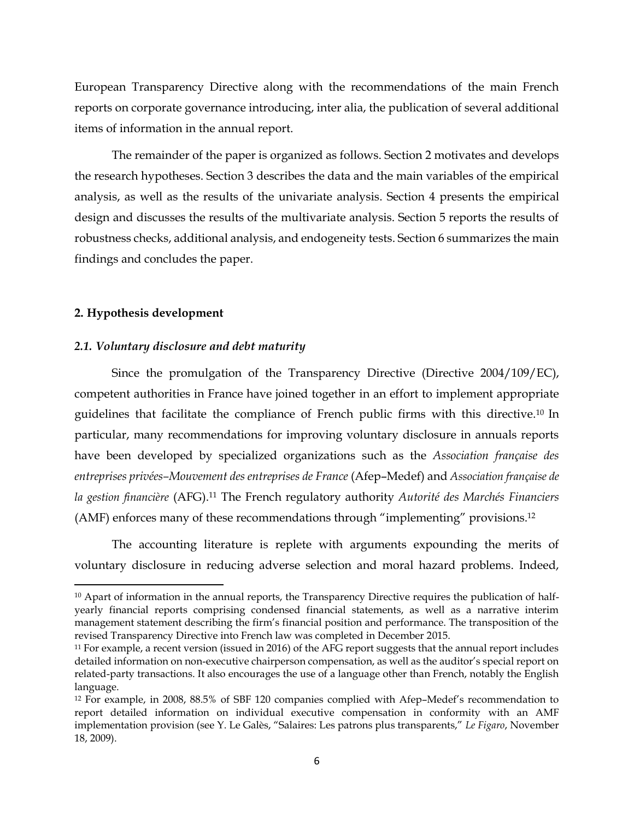European Transparency Directive along with the recommendations of the main French reports on corporate governance introducing, inter alia, the publication of several additional items of information in the annual report.

The remainder of the paper is organized as follows. Section 2 motivates and develops the research hypotheses. Section 3 describes the data and the main variables of the empirical analysis, as well as the results of the univariate analysis. Section 4 presents the empirical design and discusses the results of the multivariate analysis. Section 5 reports the results of robustness checks, additional analysis, and endogeneity tests. Section 6 summarizes the main findings and concludes the paper.

# **2. Hypothesis development**

 $\overline{\phantom{a}}$ 

#### *2.1. Voluntary disclosure and debt maturity*

Since the promulgation of the Transparency Directive (Directive 2004/109/EC), competent authorities in France have joined together in an effort to implement appropriate guidelines that facilitate the compliance of French public firms with this directive.<sup>10</sup> In particular, many recommendations for improving voluntary disclosure in annuals reports have been developed by specialized organizations such as the *Association française des entreprises privées–Mouvement des entreprises de France* (Afep–Medef) and *Association française de la gestion financière* (AFG).<sup>11</sup> The French regulatory authority *Autorité des Marchés Financiers*  (AMF) enforces many of these recommendations through "implementing" provisions. 12

The accounting literature is replete with arguments expounding the merits of voluntary disclosure in reducing adverse selection and moral hazard problems. Indeed,

<sup>&</sup>lt;sup>10</sup> Apart of information in the annual reports, the Transparency Directive requires the publication of halfyearly financial reports comprising condensed financial statements, as well as a narrative interim management statement describing the firm's financial position and performance. The transposition of the revised Transparency Directive into French law was completed in December 2015.

<sup>&</sup>lt;sup>11</sup> For example, a recent version (issued in 2016) of the AFG report suggests that the annual report includes detailed information on non-executive chairperson compensation, as well as the auditor's special report on related-party transactions. It also encourages the use of a language other than French, notably the English language.

<sup>12</sup> For example, in 2008, 88.5% of SBF 120 companies complied with Afep–Medef's recommendation to report detailed information on individual executive compensation in conformity with an AMF implementation provision (see Y. Le Galès, "Salaires: Les patrons plus transparents," *Le Figaro*, November 18, 2009).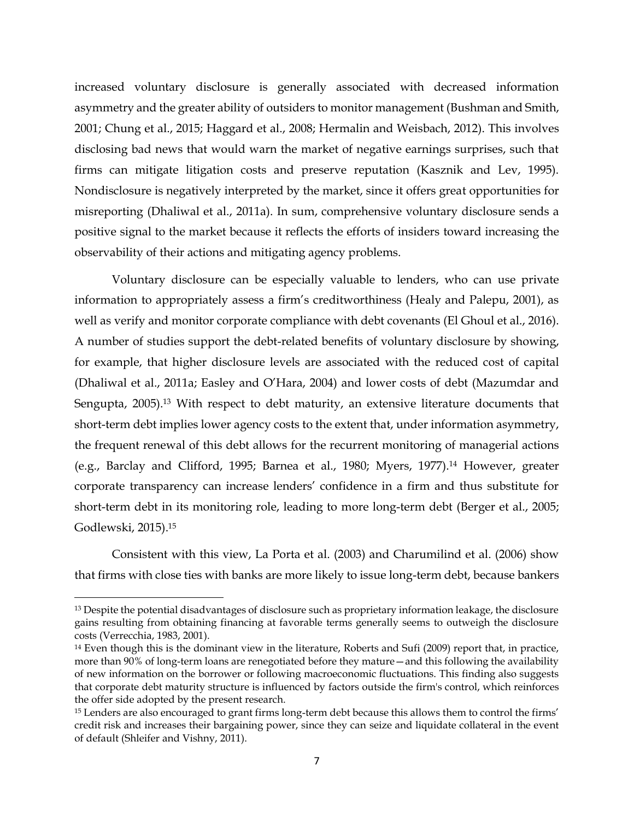increased voluntary disclosure is generally associated with decreased information asymmetry and the greater ability of outsiders to monitor management (Bushman and Smith, 2001; Chung et al., 2015; Haggard et al., 2008; Hermalin and Weisbach, 2012). This involves disclosing bad news that would warn the market of negative earnings surprises, such that firms can mitigate litigation costs and preserve reputation (Kasznik and Lev, 1995). Nondisclosure is negatively interpreted by the market, since it offers great opportunities for misreporting (Dhaliwal et al., 2011a). In sum, comprehensive voluntary disclosure sends a positive signal to the market because it reflects the efforts of insiders toward increasing the observability of their actions and mitigating agency problems.

Voluntary disclosure can be especially valuable to lenders, who can use private information to appropriately assess a firm's creditworthiness (Healy and Palepu, 2001), as well as verify and monitor corporate compliance with debt covenants (El Ghoul et al., 2016). A number of studies support the debt-related benefits of voluntary disclosure by showing, for example, that higher disclosure levels are associated with the reduced cost of capital (Dhaliwal et al., 2011a; Easley and O'Hara, 2004) and lower costs of debt (Mazumdar and Sengupta, 2005).<sup>13</sup> With respect to debt maturity, an extensive literature documents that short-term debt implies lower agency costs to the extent that, under information asymmetry, the frequent renewal of this debt allows for the recurrent monitoring of managerial actions (e.g., Barclay and Clifford, 1995; Barnea et al., 1980; Myers, 1977).<sup>14</sup> However, greater corporate transparency can increase lenders' confidence in a firm and thus substitute for short-term debt in its monitoring role, leading to more long-term debt (Berger et al., 2005; Godlewski, 2015). 15

Consistent with this view, La Porta et al. (2003) and Charumilind et al. (2006) show that firms with close ties with banks are more likely to issue long-term debt, because bankers

 $\overline{a}$ 

<sup>&</sup>lt;sup>13</sup> Despite the potential disadvantages of disclosure such as proprietary information leakage, the disclosure gains resulting from obtaining financing at favorable terms generally seems to outweigh the disclosure costs (Verrecchia, 1983, 2001).

<sup>14</sup> Even though this is the dominant view in the literature, Roberts and Sufi (2009) report that, in practice, more than 90% of long-term loans are renegotiated before they mature—and this following the availability of new information on the borrower or following macroeconomic fluctuations. This finding also suggests that corporate debt maturity structure is influenced by factors outside the firm's control, which reinforces the offer side adopted by the present research.

<sup>&</sup>lt;sup>15</sup> Lenders are also encouraged to grant firms long-term debt because this allows them to control the firms' credit risk and increases their bargaining power, since they can seize and liquidate collateral in the event of default (Shleifer and Vishny, 2011).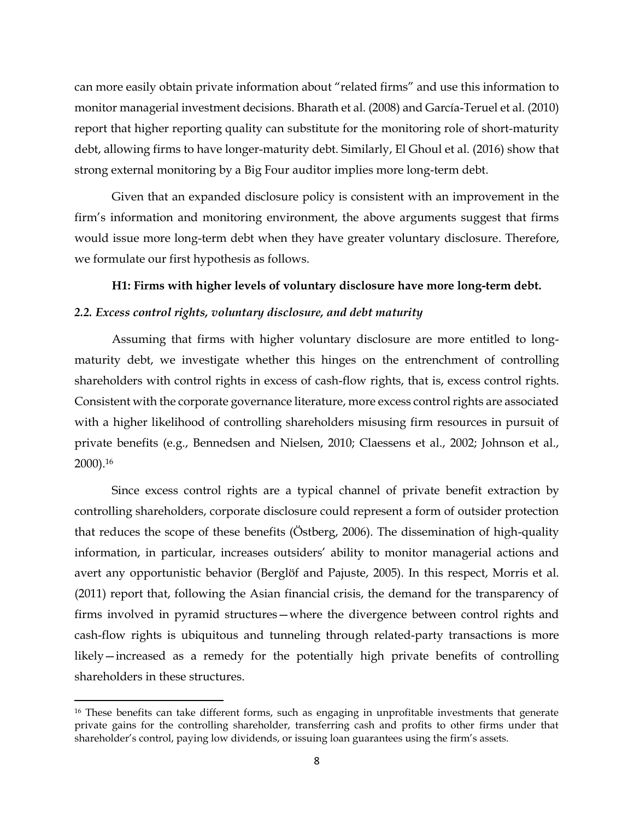can more easily obtain private information about "related firms" and use this information to monitor managerial investment decisions. Bharath et al. (2008) and García-Teruel et al. (2010) report that higher reporting quality can substitute for the monitoring role of short-maturity debt, allowing firms to have longer-maturity debt. Similarly, El Ghoul et al. (2016) show that strong external monitoring by a Big Four auditor implies more long-term debt.

Given that an expanded disclosure policy is consistent with an improvement in the firm's information and monitoring environment, the above arguments suggest that firms would issue more long-term debt when they have greater voluntary disclosure. Therefore, we formulate our first hypothesis as follows.

# **H1: Firms with higher levels of voluntary disclosure have more long-term debt.**

# *2.2. Excess control rights, voluntary disclosure, and debt maturity*

Assuming that firms with higher voluntary disclosure are more entitled to longmaturity debt, we investigate whether this hinges on the entrenchment of controlling shareholders with control rights in excess of cash-flow rights, that is, excess control rights. Consistent with the corporate governance literature, more excess control rights are associated with a higher likelihood of controlling shareholders misusing firm resources in pursuit of private benefits (e.g., Bennedsen and Nielsen, 2010; Claessens et al., 2002; Johnson et al., 2000).<sup>16</sup>

Since excess control rights are a typical channel of private benefit extraction by controlling shareholders, corporate disclosure could represent a form of outsider protection that reduces the scope of these benefits (Östberg, 2006). The dissemination of high-quality information, in particular, increases outsiders' ability to monitor managerial actions and avert any opportunistic behavior [\(Berglöf](https://scholar.google.lu/citations?user=yiWZrd0AAAAJ&hl=fr&oi=sra) and [Pajuste,](https://scholar.google.lu/citations?user=aSLAGzwAAAAJ&hl=fr&oi=sra) 2005). In this respect, Morris et al. (2011) report that, following the Asian financial crisis, the demand for the transparency of firms involved in pyramid structures—where the divergence between control rights and cash-flow rights is ubiquitous and tunneling through related-party transactions is more likely—increased as a remedy for the potentially high private benefits of controlling shareholders in these structures.

 $\overline{a}$ 

<sup>&</sup>lt;sup>16</sup> These benefits can take different forms, such as engaging in unprofitable investments that generate private gains for the controlling shareholder, transferring cash and profits to other firms under that shareholder's control, paying low dividends, or issuing loan guarantees using the firm's assets.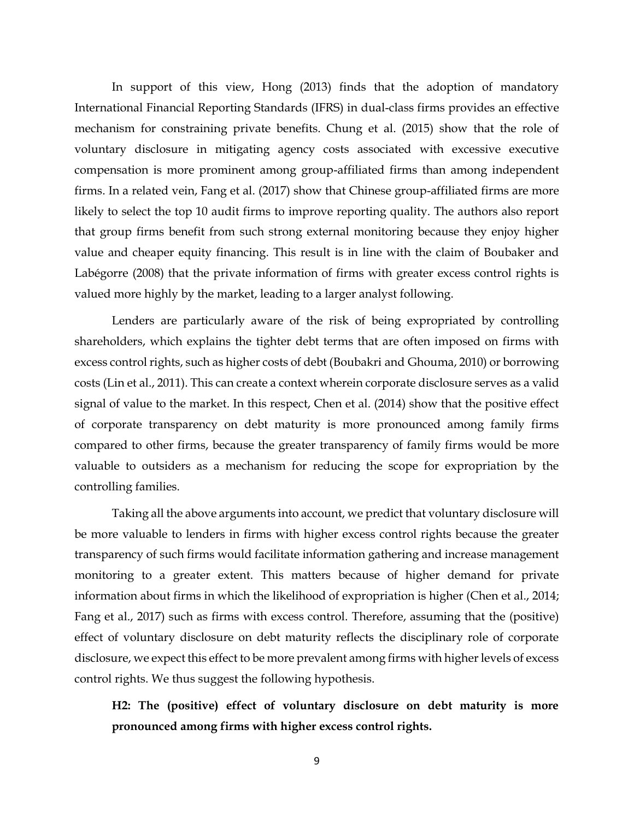In support of this view, Hong (2013) finds that the adoption of mandatory International Financial Reporting Standards (IFRS) in dual-class firms provides an effective mechanism for constraining private benefits. Chung et al. (2015) show that the role of voluntary disclosure in mitigating agency costs associated with excessive executive compensation is more prominent among group-affiliated firms than among independent firms. In a related vein, Fang et al. (2017) show that Chinese group-affiliated firms are more likely to select the top 10 audit firms to improve reporting quality. The authors also report that group firms benefit from such strong external monitoring because they enjoy higher value and cheaper equity financing. This result is in line with the claim of Boubaker and Labégorre (2008) that the private information of firms with greater excess control rights is valued more highly by the market, leading to a larger analyst following.

Lenders are particularly aware of the risk of being expropriated by controlling shareholders, which explains the tighter debt terms that are often imposed on firms with excess control rights, such as higher costs of debt (Boubakri and Ghouma, 2010) or borrowing costs (Lin et al., 2011). This can create a context wherein corporate disclosure serves as a valid signal of value to the market. In this respect, Chen et al. (2014) show that the positive effect of corporate transparency on debt maturity is more pronounced among family firms compared to other firms, because the greater transparency of family firms would be more valuable to outsiders as a mechanism for reducing the scope for expropriation by the controlling families.

Taking all the above arguments into account, we predict that voluntary disclosure will be more valuable to lenders in firms with higher excess control rights because the greater transparency of such firms would facilitate information gathering and increase management monitoring to a greater extent. This matters because of higher demand for private information about firms in which the likelihood of expropriation is higher (Chen et al., 2014; Fang et al., 2017) such as firms with excess control. Therefore, assuming that the (positive) effect of voluntary disclosure on debt maturity reflects the disciplinary role of corporate disclosure, we expect this effect to be more prevalent among firms with higher levels of excess control rights. We thus suggest the following hypothesis.

**H2: The (positive) effect of voluntary disclosure on debt maturity is more pronounced among firms with higher excess control rights.**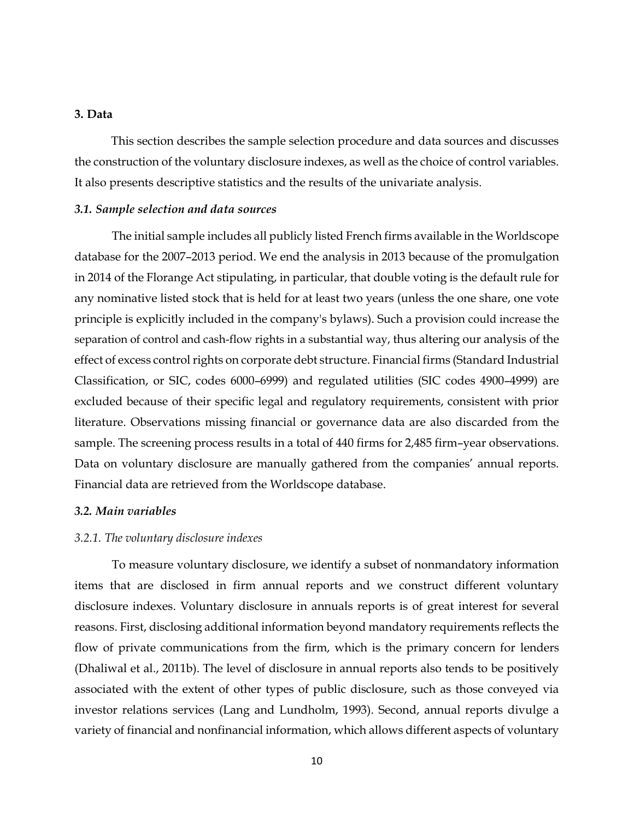# **3. Data**

This section describes the sample selection procedure and data sources and discusses the construction of the voluntary disclosure indexes, as well as the choice of control variables. It also presents descriptive statistics and the results of the univariate analysis.

# *3.1. Sample selection and data sources*

The initial sample includes all publicly listed French firms available in the Worldscope database for the 2007–2013 period. We end the analysis in 2013 because of the promulgation in 2014 of the Florange Act stipulating, in particular, that double voting is the default rule for any nominative listed stock that is held for at least two years (unless the one share, one vote principle is explicitly included in the company's bylaws). Such a provision could increase the separation of control and cash-flow rights in a substantial way, thus altering our analysis of the effect of excess control rights on corporate debt structure. Financial firms (Standard Industrial Classification, or SIC, codes 6000–6999) and regulated utilities (SIC codes 4900–4999) are excluded because of their specific legal and regulatory requirements, consistent with prior literature. Observations missing financial or governance data are also discarded from the sample. The screening process results in a total of 440 firms for 2,485 firm–year observations. Data on voluntary disclosure are manually gathered from the companies' annual reports. Financial data are retrieved from the Worldscope database.

# *3.2. Main variables*

#### *3.2.1. The voluntary disclosure indexes*

To measure voluntary disclosure, we identify a subset of nonmandatory information items that are disclosed in firm annual reports and we construct different voluntary disclosure indexes. Voluntary disclosure in annuals reports is of great interest for several reasons. First, disclosing additional information beyond mandatory requirements reflects the flow of private communications from the firm, which is the primary concern for lenders (Dhaliwal et al., 2011b). The level of disclosure in annual reports also tends to be positively associated with the extent of other types of public disclosure, such as those conveyed via investor relations services (Lang and Lundholm, 1993). Second, annual reports divulge a variety of financial and nonfinancial information, which allows different aspects of voluntary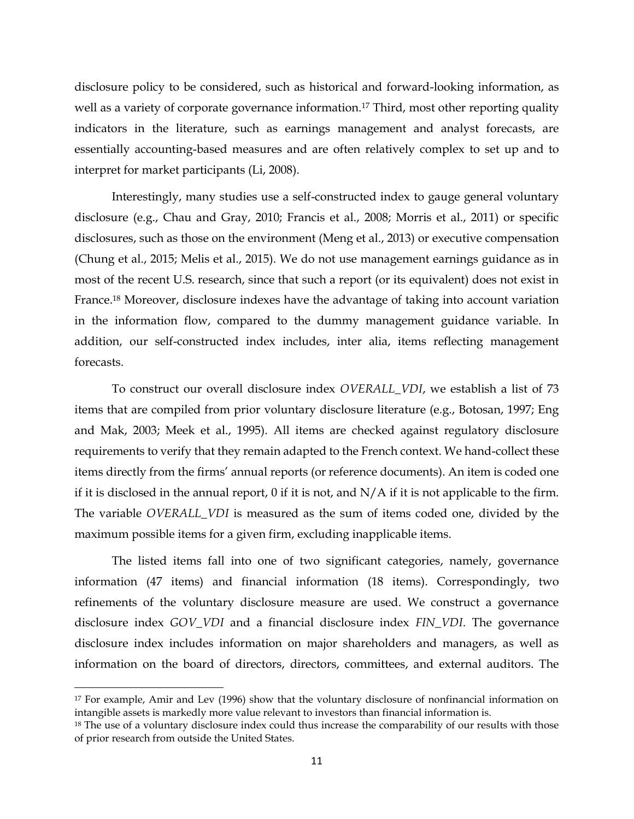disclosure policy to be considered, such as historical and forward-looking information, as well as a variety of corporate governance information.<sup>17</sup> Third, most other reporting quality indicators in the literature, such as earnings management and analyst forecasts, are essentially accounting-based measures and are often relatively complex to set up and to interpret for market participants (Li, 2008).

Interestingly, many studies use a self-constructed index to gauge general voluntary disclosure (e.g., Chau and Gray, 2010; Francis et al., 2008; Morris et al., 2011) or specific disclosures, such as those on the environment (Meng et al., 2013) or executive compensation (Chung et al., 2015; Melis et al., 2015). We do not use management earnings guidance as in most of the recent U.S. research, since that such a report (or its equivalent) does not exist in France.<sup>18</sup> Moreover, disclosure indexes have the advantage of taking into account variation in the information flow, compared to the dummy management guidance variable. In addition, our self-constructed index includes, inter alia, items reflecting management forecasts.

To construct our overall disclosure index *OVERALL\_VDI*, we establish a list of 73 items that are compiled from prior voluntary disclosure literature (e.g., Botosan, 1997; Eng and Mak, 2003; Meek et al., 1995). All items are checked against regulatory disclosure requirements to verify that they remain adapted to the French context. We hand-collect these items directly from the firms' annual reports (or reference documents). An item is coded one if it is disclosed in the annual report,  $0$  if it is not, and  $N/A$  if it is not applicable to the firm. The variable *OVERALL\_VDI* is measured as the sum of items coded one, divided by the maximum possible items for a given firm, excluding inapplicable items.

The listed items fall into one of two significant categories, namely, governance information (47 items) and financial information (18 items). Correspondingly, two refinements of the voluntary disclosure measure are used. We construct a governance disclosure index *GOV\_VDI* and a financial disclosure index *FIN\_VDI*. The governance disclosure index includes information on major shareholders and managers, as well as information on the board of directors, directors, committees, and external auditors. The

 $\overline{a}$ 

<sup>&</sup>lt;sup>17</sup> For example, Amir and Lev (1996) show that the voluntary disclosure of nonfinancial information on intangible assets is markedly more value relevant to investors than financial information is.

 $18$  The use of a voluntary disclosure index could thus increase the comparability of our results with those of prior research from outside the United States.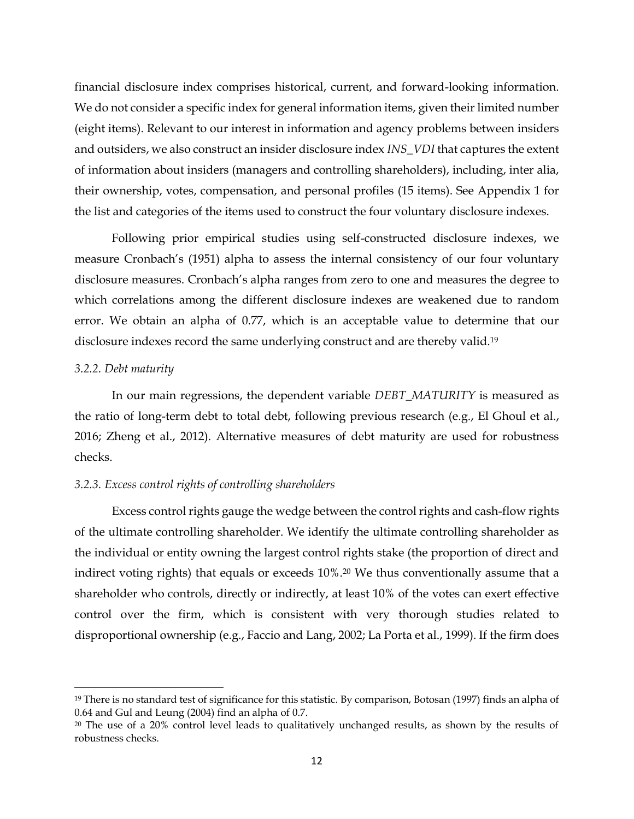financial disclosure index comprises historical, current, and forward-looking information. We do not consider a specific index for general information items, given their limited number (eight items). Relevant to our interest in information and agency problems between insiders and outsiders, we also construct an insider disclosure index *INS\_VDI* that captures the extent of information about insiders (managers and controlling shareholders), including, inter alia, their ownership, votes, compensation, and personal profiles (15 items). See Appendix 1 for the list and categories of the items used to construct the four voluntary disclosure indexes.

Following prior empirical studies using self-constructed disclosure indexes, we measure Cronbach's (1951) alpha to assess the internal consistency of our four voluntary disclosure measures. Cronbach's alpha ranges from zero to one and measures the degree to which correlations among the different disclosure indexes are weakened due to random error. We obtain an alpha of 0.77, which is an acceptable value to determine that our disclosure indexes record the same underlying construct and are thereby valid.<sup>19</sup>

# *3.2.2. Debt maturity*

 $\overline{a}$ 

In our main regressions, the dependent variable *DEBT\_MATURITY* is measured as the ratio of long-term debt to total debt, following previous research (e.g., El Ghoul et al., 2016; [Zheng et al., 2012\)](http://www.sciencedirect.com/science/article/pii/S0929119915001224#bb0355). Alternative measures of debt maturity are used for robustness checks.

# *3.2.3. Excess control rights of controlling shareholders*

Excess control rights gauge the wedge between the control rights and cash-flow rights of the ultimate controlling shareholder. We identify the ultimate controlling shareholder as the individual or entity owning the largest control rights stake (the proportion of direct and indirect voting rights) that equals or exceeds 10%.<sup>20</sup> We thus conventionally assume that a shareholder who controls, directly or indirectly, at least 10% of the votes can exert effective control over the firm, which is consistent with very thorough studies related to disproportional ownership (e.g., Faccio and Lang, 2002; [La Porta et al., 1999\)](file:///C:/AppData/AppData/AppData/AppData/sboubaker/AppData/Local/Dropbox/Imen%20Derouiche%20dropbox/Papers/Papier%203%20Cash-cash%20flow%20sensitivity%20(anglais)/Saffar/Dropbox/Imen%20Derouiche%20dropbox/AppData/Roaming/Microsoft/ifrs/cours/S0304405X10002485.htm%23bib34). If the firm does

<sup>19</sup> There is no standard test of significance for this statistic. By comparison, Botosan (1997) finds an alpha of 0.64 and Gul and Leung (2004) find an alpha of 0.7.

<sup>20</sup> The use of a 20% control level leads to qualitatively unchanged results, as shown by the results of robustness checks.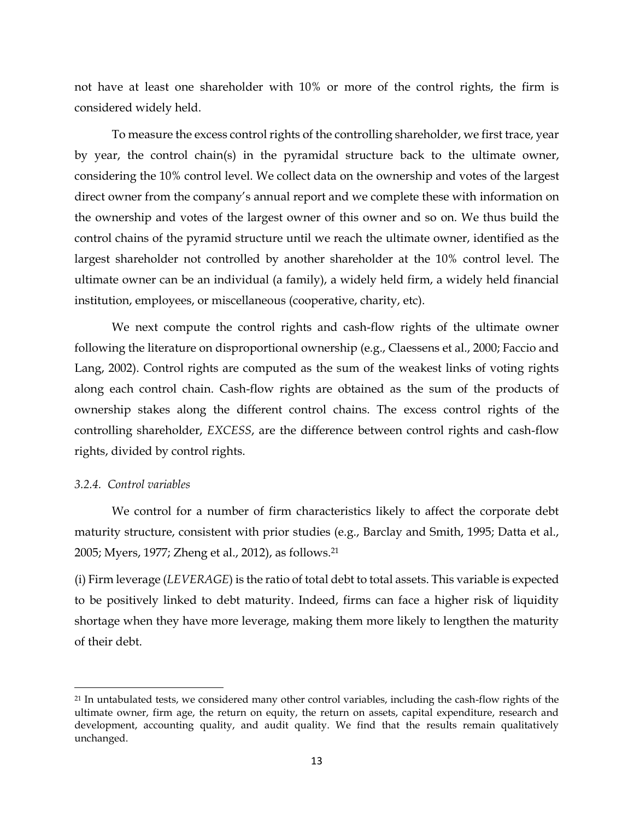not have at least one shareholder with 10% or more of the control rights, the firm is considered widely held.

To measure the excess control rights of the controlling shareholder, we first trace, year by year, the control chain(s) in the pyramidal structure back to the ultimate owner, considering the 10% control level. We collect data on the ownership and votes of the largest direct owner from the company's annual report and we complete these with information on the ownership and votes of the largest owner of this owner and so on. We thus build the control chains of the pyramid structure until we reach the ultimate owner, identified as the largest shareholder not controlled by another shareholder at the 10% control level. The ultimate owner can be an individual (a family), a widely held firm, a widely held financial institution, employees, or miscellaneous (cooperative, charity, etc).

We next compute the control rights and cash-flow rights of the ultimate owner following the literature on disproportional ownership (e.g., Claessens et al., 2000; Faccio and Lang, 2002). Control rights are computed as the sum of the weakest links of voting rights along each control chain. Cash-flow rights are obtained as the sum of the products of ownership stakes along the different control chains. The excess control rights of the controlling shareholder, *EXCESS*, are the difference between control rights and cash-flow rights, divided by control rights.

# *3.2.4. Control variables*

 $\overline{a}$ 

We control for a number of firm characteristics likely to affect the corporate debt maturity structure, consistent with prior studies (e.g., [Barclay and Smith,](http://www.sciencedirect.com/science/article/pii/S0929119915001224#bb0025) 1995; [Datta et al.,](http://www.sciencedirect.com/science/article/pii/S0929119915001224#bb0130)  [2005;](http://www.sciencedirect.com/science/article/pii/S0929119915001224#bb0130) [Myers, 1977;](http://www.sciencedirect.com/science/article/pii/S0929119915001224#bb0290) [Zheng et al., 2012\)](http://www.sciencedirect.com/science/article/pii/S0929119915001224#bb0355), as follows. 21

(i) Firm leverage (*LEVERAGE*) is the ratio of total debt to total assets. This variable is expected to be positively linked to debt maturity. Indeed, firms can face a higher risk of liquidity shortage when they have more leverage, making them more likely to lengthen the maturity of their debt.

<sup>&</sup>lt;sup>21</sup> In untabulated tests, we considered many other control variables, including the cash-flow rights of the ultimate owner, firm age, the return on equity, the return on assets, capital expenditure, research and development, accounting quality, and audit quality. We find that the results remain qualitatively unchanged.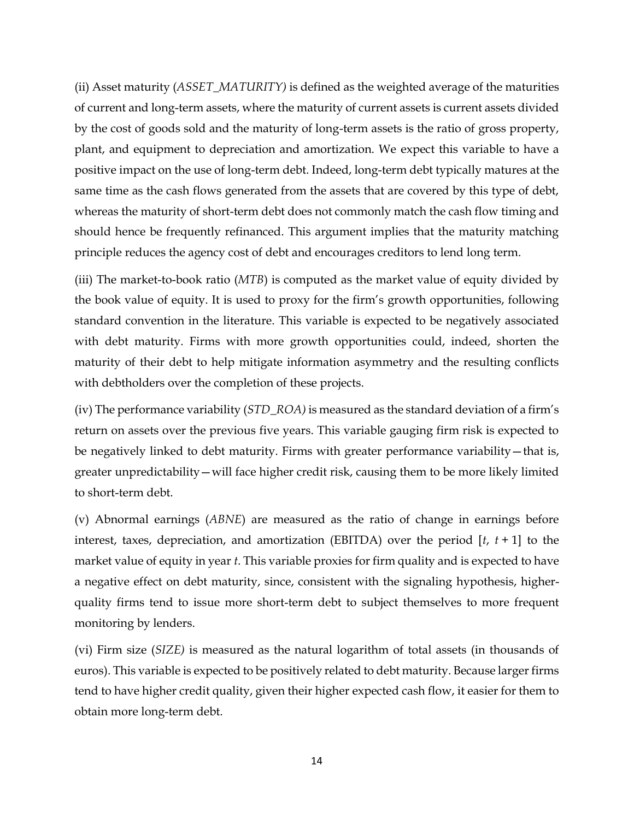(ii) Asset maturity (*ASSET\_MATURITY)* is defined as the weighted average of the maturities of current and long-term assets, where the maturity of current assets is current assets divided by the cost of goods sold and the maturity of long-term assets is the ratio of gross property, plant, and equipment to depreciation and amortization. We expect this variable to have a positive impact on the use of long-term debt. Indeed, long-term debt typically matures at the same time as the cash flows generated from the assets that are covered by this type of debt, whereas the maturity of short-term debt does not commonly match the cash flow timing and should hence be frequently refinanced. This argument implies that the maturity matching principle reduces the agency cost of debt and encourages creditors to lend long term.

(iii) The market-to-book ratio (*MTB*) is computed as the market value of equity divided by the book value of equity. It is used to proxy for the firm's growth opportunities, following standard convention in the literature. This variable is expected to be negatively associated with debt maturity. Firms with more growth opportunities could, indeed, shorten the maturity of their debt to help mitigate information asymmetry and the resulting conflicts with debtholders over the completion of these projects.

(iv) The performance variability (*STD\_ROA)* is measured as the standard deviation of a firm's return on assets over the previous five years. This variable gauging firm risk is expected to be negatively linked to debt maturity. Firms with greater performance variability—that is, greater unpredictability—will face higher credit risk, causing them to be more likely limited to short-term debt.

(v) Abnormal earnings (*ABNE*) are measured as the ratio of change in earnings before interest, taxes, depreciation, and amortization (EBITDA) over the period [*t*, *t* + 1] to the market value of equity in year *t*. This variable proxies for firm quality and is expected to have a negative effect on debt maturity, since, consistent with the signaling hypothesis, higherquality firms tend to issue more short-term debt to subject themselves to more frequent monitoring by lenders.

(vi) Firm size (*SIZE)* is measured as the natural logarithm of total assets (in thousands of euros). This variable is expected to be positively related to debt maturity. Because larger firms tend to have higher credit quality, given their higher expected cash flow, it easier for them to obtain more long-term debt.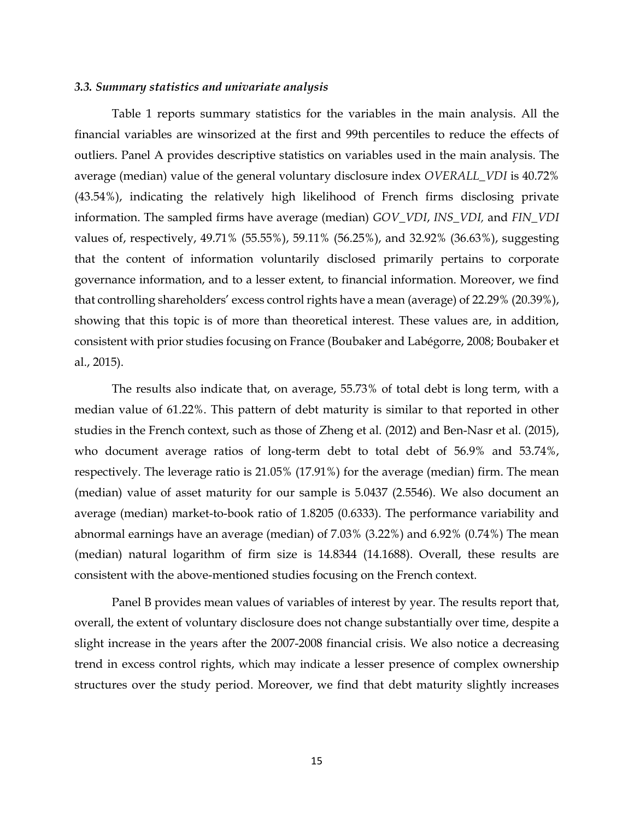### *3.3. Summary statistics and univariate analysis*

Table 1 reports summary statistics for the variables in the main analysis. All the financial variables are winsorized at the first and 99th percentiles to reduce the effects of outliers. Panel A provides descriptive statistics on variables used in the main analysis. The average (median) value of the general voluntary disclosure index *OVERALL\_VDI* is 40.72% (43.54%), indicating the relatively high likelihood of French firms disclosing private information. The sampled firms have average (median) *GOV\_VDI*, *INS\_VDI,* and *FIN\_VDI* values of, respectively, 49.71% (55.55%), 59.11% (56.25%), and 32.92% (36.63%), suggesting that the content of information voluntarily disclosed primarily pertains to corporate governance information, and to a lesser extent, to financial information. Moreover, we find that controlling shareholders' excess control rights have a mean (average) of 22.29% (20.39%), showing that this topic is of more than theoretical interest. These values are, in addition, consistent with prior studies focusing on France (Boubaker and Labégorre, 2008; Boubaker et al., 2015).

The results also indicate that, on average, 55.73% of total debt is long term, with a median value of 61.22%. This pattern of debt maturity is similar to that reported in other studies in the French context, such as those of [Zheng et al. \(2012\)](http://www.sciencedirect.com/science/article/pii/S0929119915001224#bb0355) and Ben-Nasr et al. (2015), who document average ratios of long-term debt to total debt of 56.9% and 53.74%, respectively. The leverage ratio is 21.05% (17.91%) for the average (median) firm. The mean (median) value of asset maturity for our sample is 5.0437 (2.5546). We also document an average (median) market-to-book ratio of 1.8205 (0.6333). The performance variability and abnormal earnings have an average (median) of 7.03% (3.22%) and 6.92% (0.74%) The mean (median) natural logarithm of firm size is 14.8344 (14.1688). Overall, these results are consistent with the above-mentioned studies focusing on the French context.

Panel B provides mean values of variables of interest by year. The results report that, overall, the extent of voluntary disclosure does not change substantially over time, despite a slight increase in the years after the 2007-2008 financial crisis. We also notice a decreasing trend in excess control rights, which may indicate a lesser presence of complex ownership structures over the study period. Moreover, we find that debt maturity slightly increases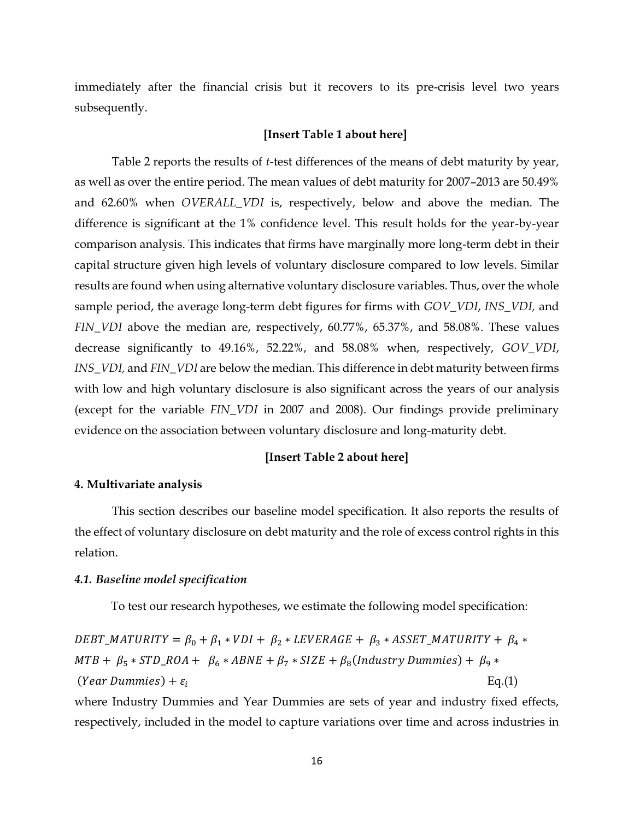immediately after the financial crisis but it recovers to its pre-crisis level two years subsequently.

#### **[Insert Table 1 about here]**

Table 2 reports the results of *t*-test differences of the means of debt maturity by year, as well as over the entire period. The mean values of debt maturity for 2007–2013 are 50.49% and 62.60% when *OVERALL\_VDI* is, respectively, below and above the median. The difference is significant at the 1% confidence level. This result holds for the year-by-year comparison analysis. This indicates that firms have marginally more long-term debt in their capital structure given high levels of voluntary disclosure compared to low levels. Similar results are found when using alternative voluntary disclosure variables. Thus, over the whole sample period, the average long-term debt figures for firms with *GOV\_VDI*, *INS\_VDI,* and *FIN\_VDI* above the median are, respectively, 60.77%, 65.37%, and 58.08%. These values decrease significantly to 49.16%, 52.22%, and 58.08% when, respectively, *GOV\_VDI*, *INS\_VDI,* and *FIN\_VDI* are below the median. This difference in debt maturity between firms with low and high voluntary disclosure is also significant across the years of our analysis (except for the variable *FIN\_VDI* in 2007 and 2008). Our findings provide preliminary evidence on the association between voluntary disclosure and long-maturity debt.

## **[Insert Table 2 about here]**

## **4. Multivariate analysis**

This section describes our baseline model specification. It also reports the results of the effect of voluntary disclosure on debt maturity and the role of excess control rights in this relation.

# *4.1. Baseline model specification*

To test our research hypotheses, we estimate the following model specification:

 $DEBT\_MATURITY = \beta_0 + \beta_1 * VDI + \beta_2 * LEVERAGE + \beta_3 * ASSET\_MATURITY + \beta_4 *$  $MTB + \beta_5 * STD\_ROA + \beta_6 * ABNE + \beta_7 * SIZE + \beta_8 (Industry~Dummies) + \beta_9 *$ (*Year Dummies*) +  $\varepsilon_i$  $Eq.(1)$ 

where Industry Dummies and Year Dummies are sets of year and industry fixed effects, respectively, included in the model to capture variations over time and across industries in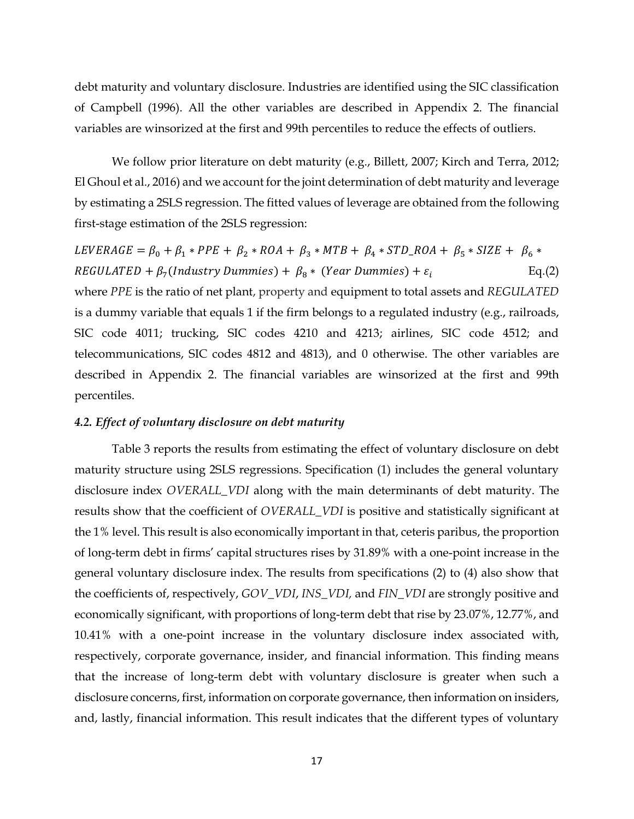debt maturity and voluntary disclosure. Industries are identified using the SIC classification of Campbell (1996). All the other variables are described in Appendix 2. The financial variables are winsorized at the first and 99th percentiles to reduce the effects of outliers.

We follow prior literature on debt maturity (e.g., Billett, 2007; Kirch and Terra, 2012; El Ghoul et al., 2016) and we account for the joint determination of debt maturity and leverage by estimating a 2SLS regression. The fitted values of leverage are obtained from the following first-stage estimation of the 2SLS regression:

 $LEVERAGE = \beta_0 + \beta_1 * PPE + \beta_2 * ROA + \beta_3 * MTB + \beta_4 * STD\_ROA + \beta_5 * SIZE + \beta_6 *$  ${\it REGULARED} + \beta_7 (Industry \; Dummies) + \beta_8 * \; (Year \; Dummies) + \varepsilon_i$  $Eq.(2)$ where *PPE* is the ratio of net plant, property and equipment to total assets and *REGULATED* is a dummy variable that equals 1 if the firm belongs to a regulated industry (e.g., railroads, SIC code 4011; trucking, SIC codes 4210 and 4213; airlines, SIC code 4512; and telecommunications, SIC codes 4812 and 4813), and 0 otherwise. The other variables are described in Appendix 2. The financial variables are winsorized at the first and 99th percentiles.

## *4.2. Effect of voluntary disclosure on debt maturity*

Table 3 reports the results from estimating the effect of voluntary disclosure on debt maturity structure using 2SLS regressions. Specification (1) includes the general voluntary disclosure index *OVERALL\_VDI* along with the main determinants of debt maturity. The results show that the coefficient of *OVERALL\_VDI* is positive and statistically significant at the 1% level. This result is also economically important in that, ceteris paribus, the proportion of long-term debt in firms' capital structures rises by 31.89% with a one-point increase in the general voluntary disclosure index. The results from specifications (2) to (4) also show that the coefficients of, respectively, *GOV\_VDI*, *INS\_VDI,* and *FIN\_VDI* are strongly positive and economically significant, with proportions of long-term debt that rise by 23.07%, 12.77%, and 10.41% with a one-point increase in the voluntary disclosure index associated with, respectively, corporate governance, insider, and financial information. This finding means that the increase of long-term debt with voluntary disclosure is greater when such a disclosure concerns, first, information on corporate governance, then information on insiders, and, lastly, financial information. This result indicates that the different types of voluntary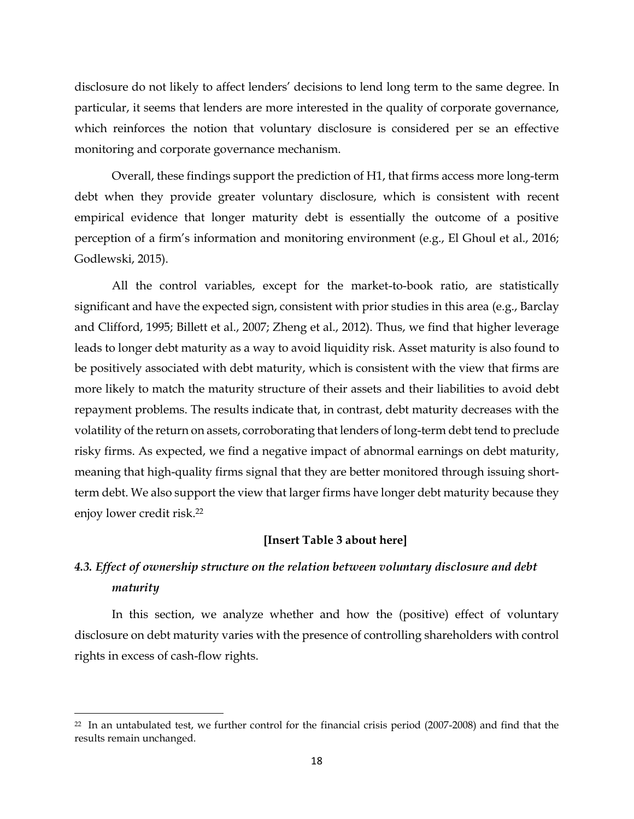disclosure do not likely to affect lenders' decisions to lend long term to the same degree. In particular, it seems that lenders are more interested in the quality of corporate governance, which reinforces the notion that voluntary disclosure is considered per se an effective monitoring and corporate governance mechanism.

Overall, these findings support the prediction of H1, that firms access more long-term debt when they provide greater voluntary disclosure, which is consistent with recent empirical evidence that longer maturity debt is essentially the outcome of a positive perception of a firm's information and monitoring environment (e.g., El Ghoul et al., 2016; Godlewski, 2015).

All the control variables, except for the market-to-book ratio, are statistically significant and have the expected sign, consistent with prior studies in this area (e.g., Barclay and Clifford, 1995; [Billett](http://www.sciencedirect.com/science/article/pii/S0929119915001224#bb0220) et al., 2007; [Zheng et](http://www.sciencedirect.com/science/article/pii/S0929119915001224#bb0355) al., 2012). Thus, we find that higher leverage leads to longer debt maturity as a way to avoid liquidity risk. Asset maturity is also found to be positively associated with debt maturity, which is consistent with the view that firms are more likely to match the maturity structure of their assets and their liabilities to avoid debt repayment problems. The results indicate that, in contrast, debt maturity decreases with the volatility of the return on assets, corroborating that lenders of long-term debt tend to preclude risky firms. As expected, we find a negative impact of abnormal earnings on debt maturity, meaning that high-quality firms signal that they are better monitored through issuing shortterm debt. We also support the view that larger firms have longer debt maturity because they enjoy lower credit risk. 22

# **[Insert Table 3 about here]**

# *4.3. Effect of ownership structure on the relation between voluntary disclosure and debt maturity*

In this section, we analyze whether and how the (positive) effect of voluntary disclosure on debt maturity varies with the presence of controlling shareholders with control rights in excess of cash-flow rights.

l

 $22$  In an untabulated test, we further control for the financial crisis period (2007-2008) and find that the results remain unchanged.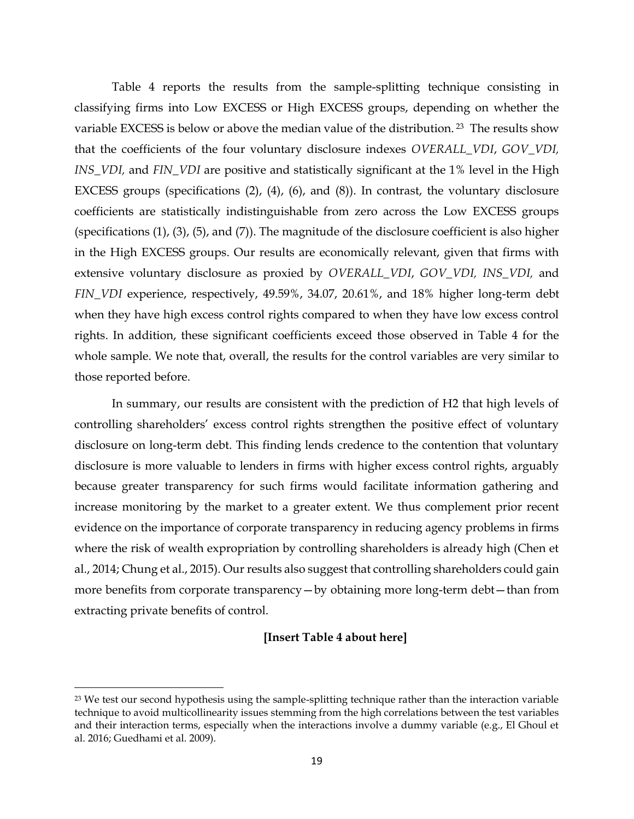Table 4 reports the results from the sample-splitting technique consisting in classifying firms into Low EXCESS or High EXCESS groups, depending on whether the variable EXCESS is below or above the median value of the distribution. <sup>23</sup> The results show that the coefficients of the four voluntary disclosure indexes *OVERALL\_VDI*, *GOV\_VDI, INS\_VDI,* and *FIN\_VDI* are positive and statistically significant at the 1% level in the High EXCESS groups (specifications (2), (4), (6), and (8)). In contrast, the voluntary disclosure coefficients are statistically indistinguishable from zero across the Low EXCESS groups (specifications (1), (3), (5), and (7)). The magnitude of the disclosure coefficient is also higher in the High EXCESS groups. Our results are economically relevant, given that firms with extensive voluntary disclosure as proxied by *OVERALL\_VDI*, *GOV\_VDI, INS\_VDI,* and *FIN\_VDI* experience, respectively, 49.59%, 34.07, 20.61%, and 18% higher long-term debt when they have high excess control rights compared to when they have low excess control rights. In addition, these significant coefficients exceed those observed in Table 4 for the whole sample. We note that, overall, the results for the control variables are very similar to those reported before.

In summary, our results are consistent with the prediction of H2 that high levels of controlling shareholders' excess control rights strengthen the positive effect of voluntary disclosure on long-term debt. This finding lends credence to the contention that voluntary disclosure is more valuable to lenders in firms with higher excess control rights, arguably because greater transparency for such firms would facilitate information gathering and increase monitoring by the market to a greater extent. We thus complement prior recent evidence on the importance of corporate transparency in reducing agency problems in firms where the risk of wealth expropriation by controlling shareholders is already high (Chen et al., 2014; Chung et al., 2015). Our results also suggest that controlling shareholders could gain more benefits from corporate transparency—by obtaining more long-term debt—than from extracting private benefits of control.

# **[Insert Table 4 about here]**

 $\overline{a}$ 

<sup>&</sup>lt;sup>23</sup> We test our second hypothesis using the sample-splitting technique rather than the interaction variable technique to avoid multicollinearity issues stemming from the high correlations between the test variables and their interaction terms, especially when the interactions involve a dummy variable (e.g., El Ghoul et al. 2016; Guedhami et al. 2009).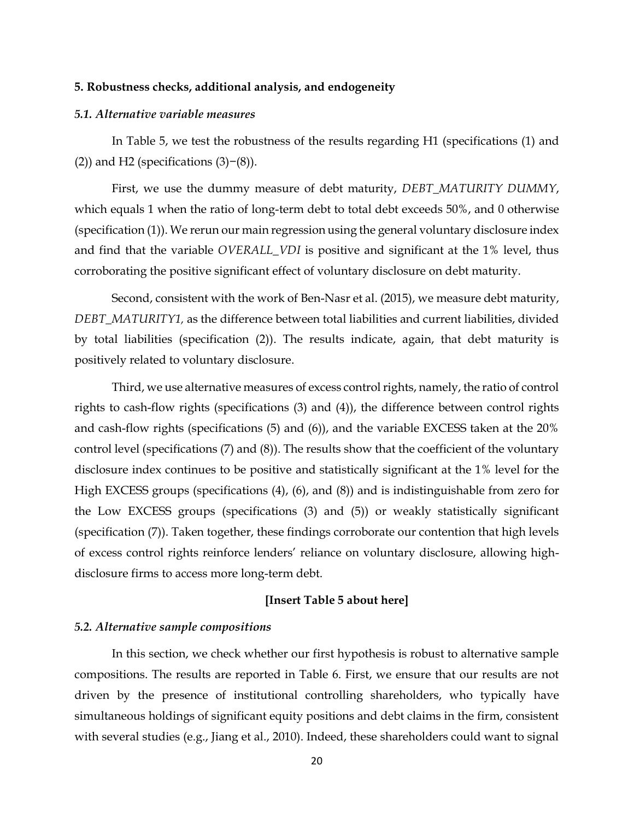#### **5. Robustness checks, additional analysis, and endogeneity**

# *5.1. Alternative variable measures*

In Table 5, we test the robustness of the results regarding H1 (specifications (1) and (2)) and H2 (specifications  $(3)-(8)$ ).

First, we use the dummy measure of debt maturity, *DEBT\_MATURITY DUMMY*, which equals 1 when the ratio of long-term debt to total debt exceeds 50%, and 0 otherwise (specification (1)). We rerun our main regression using the general voluntary disclosure index and find that the variable *OVERALL\_VDI* is positive and significant at the 1% level, thus corroborating the positive significant effect of voluntary disclosure on debt maturity.

Second, consistent with the work of Ben-Nasr et al. (2015), we measure debt maturity, *DEBT\_MATURITY1,* as the difference between total liabilities and current liabilities, divided by total liabilities (specification (2)). The results indicate, again, that debt maturity is positively related to voluntary disclosure.

Third, we use alternative measures of excess control rights, namely, the ratio of control rights to cash-flow rights (specifications (3) and (4)), the difference between control rights and cash-flow rights (specifications (5) and (6)), and the variable EXCESS taken at the 20% control level (specifications (7) and (8)). The results show that the coefficient of the voluntary disclosure index continues to be positive and statistically significant at the 1% level for the High EXCESS groups (specifications (4), (6), and (8)) and is indistinguishable from zero for the Low EXCESS groups (specifications (3) and (5)) or weakly statistically significant (specification (7)). Taken together, these findings corroborate our contention that high levels of excess control rights reinforce lenders' reliance on voluntary disclosure, allowing highdisclosure firms to access more long-term debt.

#### **[Insert Table 5 about here]**

## *5.2. Alternative sample compositions*

In this section, we check whether our first hypothesis is robust to alternative sample compositions. The results are reported in Table 6. First, we ensure that our results are not driven by the presence of institutional controlling shareholders, who typically have simultaneous holdings of significant equity positions and debt claims in the firm, consistent with several studies (e.g., Jiang et al., 2010). Indeed, these shareholders could want to signal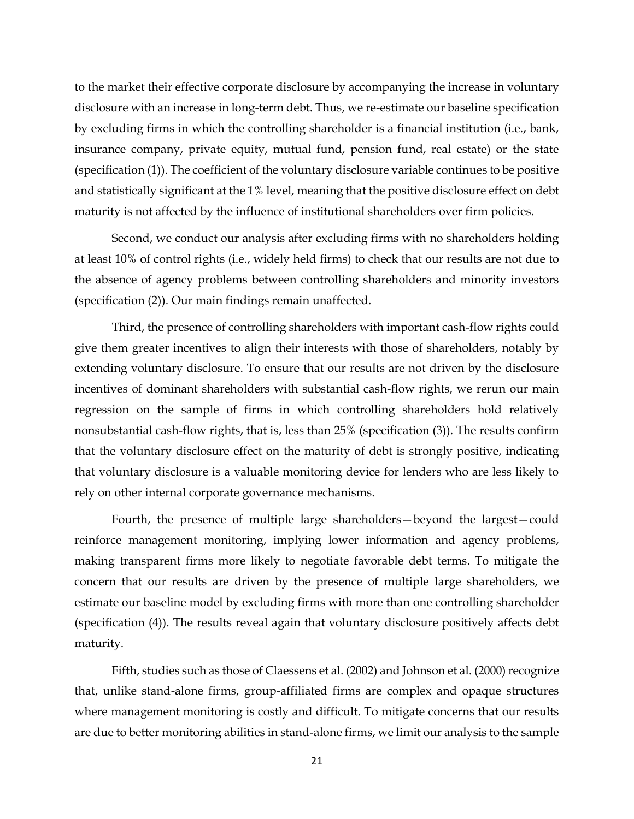to the market their effective corporate disclosure by accompanying the increase in voluntary disclosure with an increase in long-term debt. Thus, we re-estimate our baseline specification by excluding firms in which the controlling shareholder is a financial institution (i.e., bank, insurance company, private equity, mutual fund, pension fund, real estate) or the state (specification (1)). The coefficient of the voluntary disclosure variable continues to be positive and statistically significant at the 1% level, meaning that the positive disclosure effect on debt maturity is not affected by the influence of institutional shareholders over firm policies.

Second, we conduct our analysis after excluding firms with no shareholders holding at least 10% of control rights (i.e., widely held firms) to check that our results are not due to the absence of agency problems between controlling shareholders and minority investors (specification (2)). Our main findings remain unaffected.

Third, the presence of controlling shareholders with important cash-flow rights could give them greater incentives to align their interests with those of shareholders, notably by extending voluntary disclosure. To ensure that our results are not driven by the disclosure incentives of dominant shareholders with substantial cash-flow rights, we rerun our main regression on the sample of firms in which controlling shareholders hold relatively nonsubstantial cash-flow rights, that is, less than 25% (specification (3)). The results confirm that the voluntary disclosure effect on the maturity of debt is strongly positive, indicating that voluntary disclosure is a valuable monitoring device for lenders who are less likely to rely on other internal corporate governance mechanisms.

Fourth, the presence of multiple large shareholders—beyond the largest—could reinforce management monitoring, implying lower information and agency problems, making transparent firms more likely to negotiate favorable debt terms. To mitigate the concern that our results are driven by the presence of multiple large shareholders, we estimate our baseline model by excluding firms with more than one controlling shareholder (specification (4)). The results reveal again that voluntary disclosure positively affects debt maturity.

Fifth, studies such as those of Claessens et al. (2002) and Johnson et al. (2000) recognize that, unlike stand-alone firms, group-affiliated firms are complex and opaque structures where management monitoring is costly and difficult. To mitigate concerns that our results are due to better monitoring abilities in stand-alone firms, we limit our analysis to the sample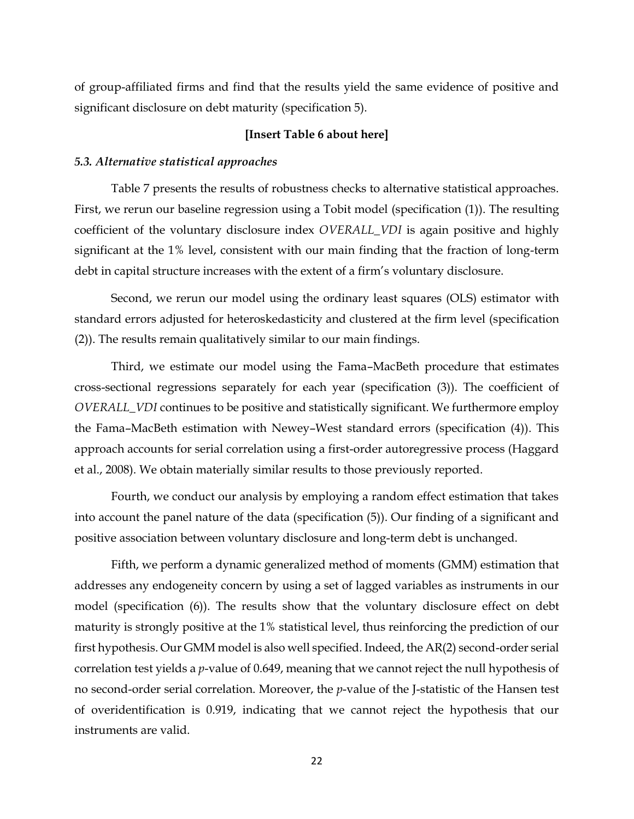of group-affiliated firms and find that the results yield the same evidence of positive and significant disclosure on debt maturity (specification 5).

# **[Insert Table 6 about here]**

### *5.3. Alternative statistical approaches*

Table 7 presents the results of robustness checks to alternative statistical approaches. First, we rerun our baseline regression using a Tobit model (specification (1)). The resulting coefficient of the voluntary disclosure index *OVERALL\_VDI* is again positive and highly significant at the 1% level, consistent with our main finding that the fraction of long-term debt in capital structure increases with the extent of a firm's voluntary disclosure.

Second, we rerun our model using the ordinary least squares (OLS) estimator with standard errors adjusted for heteroskedasticity and clustered at the firm level (specification (2)). The results remain qualitatively similar to our main findings.

Third, we estimate our model using the Fama–MacBeth procedure that estimates cross-sectional regressions separately for each year (specification (3)). The coefficient of *OVERALL\_VDI* continues to be positive and statistically significant. We furthermore employ the Fama–MacBeth estimation with Newey–West standard errors (specification (4)). This approach accounts for serial correlation using a first-order autoregressive process (Haggard et al., 2008). We obtain materially similar results to those previously reported.

Fourth, we conduct our analysis by employing a random effect estimation that takes into account the panel nature of the data (specification (5)). Our finding of a significant and positive association between voluntary disclosure and long-term debt is unchanged.

Fifth, we perform a dynamic generalized method of moments (GMM) estimation that addresses any endogeneity concern by using a set of lagged variables as instruments in our model (specification (6)). The results show that the voluntary disclosure effect on debt maturity is strongly positive at the 1% statistical level, thus reinforcing the prediction of our first hypothesis. Our GMM model is also well specified. Indeed, the AR(2) second-order serial correlation test yields a *p*-value of 0.649, meaning that we cannot reject the null hypothesis of no second-order serial correlation. Moreover, the *p*-value of the J-statistic of the Hansen test of overidentification is 0.919, indicating that we cannot reject the hypothesis that our instruments are valid.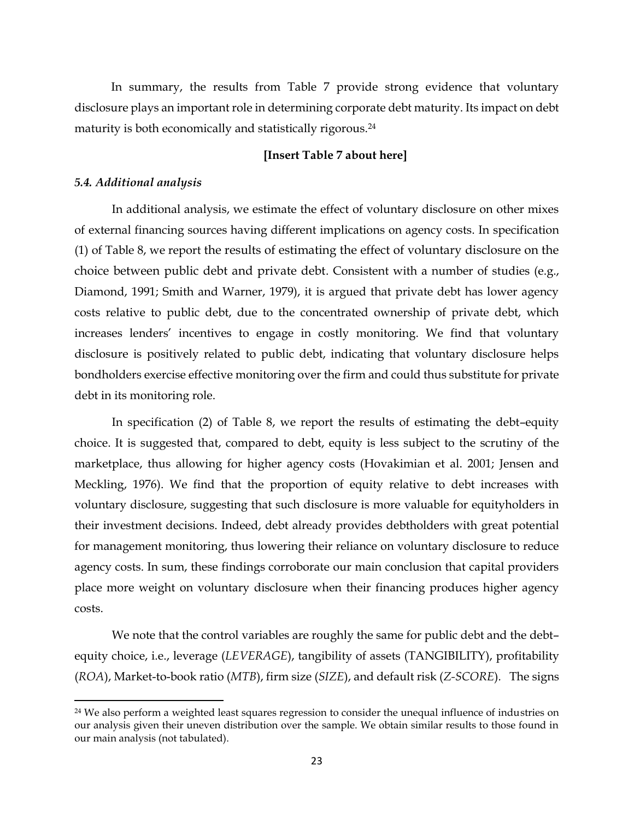In summary, the results from Table 7 provide strong evidence that voluntary disclosure plays an important role in determining corporate debt maturity. Its impact on debt maturity is both economically and statistically rigorous.<sup>24</sup>

# **[Insert Table 7 about here]**

# *5.4. Additional analysis*

 $\overline{a}$ 

In additional analysis, we estimate the effect of voluntary disclosure on other mixes of external financing sources having different implications on agency costs. In specification (1) of Table 8, we report the results of estimating the effect of voluntary disclosure on the choice between public debt and private debt. Consistent with a number of studies (e.g., Diamond, 1991; Smith and Warner, 1979), it is argued that private debt has lower agency costs relative to public debt, due to the concentrated ownership of private debt, which increases lenders' incentives to engage in costly monitoring. We find that voluntary disclosure is positively related to public debt, indicating that voluntary disclosure helps bondholders exercise effective monitoring over the firm and could thus substitute for private debt in its monitoring role.

In specification (2) of Table 8, we report the results of estimating the debt–equity choice. It is suggested that, compared to debt, equity is less subject to the scrutiny of the marketplace, thus allowing for higher agency costs (Hovakimian et al. 2001; Jensen and Meckling, 1976). We find that the proportion of equity relative to debt increases with voluntary disclosure, suggesting that such disclosure is more valuable for equityholders in their investment decisions. Indeed, debt already provides debtholders with great potential for management monitoring, thus lowering their reliance on voluntary disclosure to reduce agency costs. In sum, these findings corroborate our main conclusion that capital providers place more weight on voluntary disclosure when their financing produces higher agency costs.

We note that the control variables are roughly the same for public debt and the debtequity choice, i.e., leverage (*LEVERAGE*), tangibility of assets (TANGIBILITY), profitability (*ROA*), Market-to-book ratio (*MTB*), firm size (*SIZE*), and default risk (*Z-SCORE*)*.* The signs

<sup>&</sup>lt;sup>24</sup> We also perform a weighted least squares regression to consider the unequal influence of industries on our analysis given their uneven distribution over the sample. We obtain similar results to those found in our main analysis (not tabulated).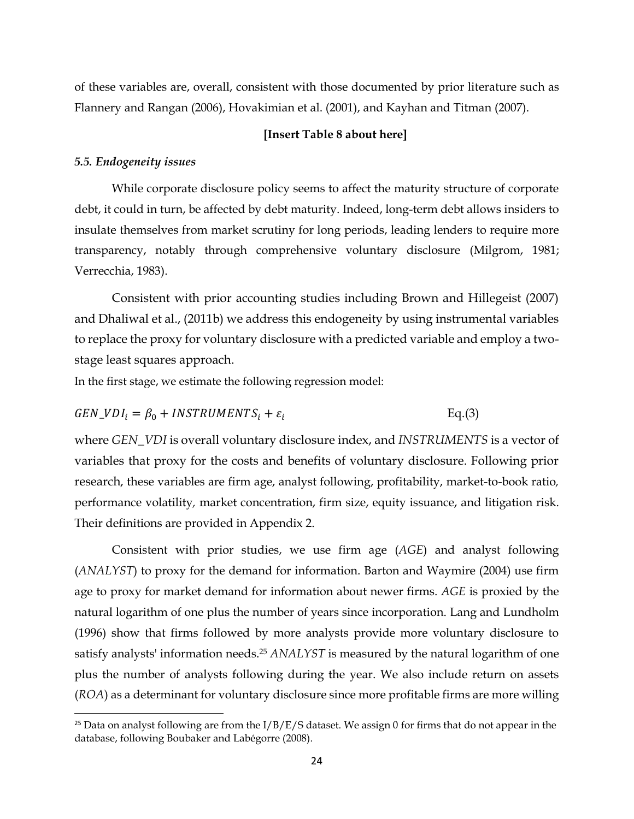of these variables are, overall, consistent with those documented by prior literature such as Flannery and Rangan (2006), Hovakimian et al. (2001), and Kayhan and Titman (2007).

# **[Insert Table 8 about here]**

#### *5.5. Endogeneity issues*

l

While corporate disclosure policy seems to affect the maturity structure of corporate debt, it could in turn, be affected by debt maturity. Indeed, long-term debt allows insiders to insulate themselves from market scrutiny for long periods, leading lenders to require more transparency, notably through comprehensive voluntary disclosure (Milgrom, 1981; Verrecchia, 1983).

Consistent with prior accounting studies including Brown and Hillegeist (2007) and Dhaliwal et al., (2011b) we address this endogeneity by using instrumental variables to replace the proxy for voluntary disclosure with a predicted variable and employ a twostage least squares approach.

In the first stage, we estimate the following regression model:

$$
GEN\_VDI_i = \beta_0 + INSTRUMENTS_i + \varepsilon_i
$$
 Eq.(3)

where *GEN\_VDI* is overall voluntary disclosure index, and *INSTRUMENTS* is a vector of variables that proxy for the costs and benefits of voluntary disclosure. Following prior research, these variables are firm age, analyst following, profitability, market-to-book ratio*,*  performance volatility*,* market concentration, firm size, equity issuance, and litigation risk. Their definitions are provided in Appendix 2.

Consistent with prior studies, we use firm age (*AGE*) and analyst following (*ANALYST*) to proxy for the demand for information. Barton and Waymire (2004) use firm age to proxy for market demand for information about newer firms. *AGE* is proxied by the natural logarithm of one plus the number of years since incorporation. Lang and Lundholm (1996) show that firms followed by more analysts provide more voluntary disclosure to satisfy analysts' information needs.<sup>25</sup> *ANALYST* is measured by the natural logarithm of one plus the number of analysts following during the year. We also include return on assets (*ROA*) as a determinant for voluntary disclosure since more profitable firms are more willing

<sup>&</sup>lt;sup>25</sup> Data on analyst following are from the I/B/E/S dataset. We assign 0 for firms that do not appear in the database, following Boubaker and Labégorre (2008).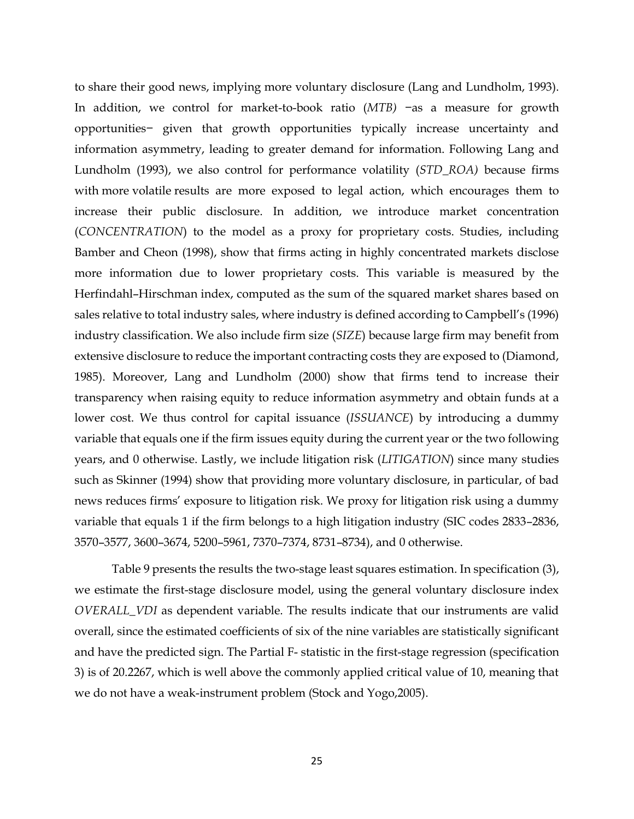to share their good news, implying more voluntary disclosure (Lang and Lundholm, 1993). In addition, we control for market-to-book ratio (*MTB)* −as a measure for growth opportunities− given that growth opportunities typically increase uncertainty and information asymmetry, leading to greater demand for information. Following Lang and Lundholm (1993), we also control for performance volatility (*STD\_ROA)* because firms with more volatile results are more exposed to legal action, which encourages them to increase their public disclosure. In addition, we introduce market concentration (*CONCENTRATION*) to the model as a proxy for proprietary costs. Studies, including Bamber and Cheon (1998), show that firms acting in highly concentrated markets disclose more information due to lower proprietary costs. This variable is measured by the Herfindahl–Hirschman index, computed as the sum of the squared market shares based on sales relative to total industry sales, where industry is defined according to Campbell's (1996) industry classification. We also include firm size (*SIZE*) because large firm may benefit from extensive disclosure to reduce the important contracting costs they are exposed to (Diamond, 1985). Moreover, Lang and Lundholm (2000) show that firms tend to increase their transparency when raising equity to reduce information asymmetry and obtain funds at a lower cost. We thus control for capital issuance (*ISSUANCE*) by introducing a dummy variable that equals one if the firm issues equity during the current year or the two following years, and 0 otherwise. Lastly, we include litigation risk (*LITIGATION*) since many studies such as Skinner (1994) show that providing more voluntary disclosure, in particular, of bad news reduces firms' exposure to litigation risk. We proxy for litigation risk using a dummy variable that equals 1 if the firm belongs to a high litigation industry (SIC codes 2833–2836, 3570–3577, 3600–3674, 5200–5961, 7370–7374, 8731–8734), and 0 otherwise.

Table 9 presents the results the two-stage least squares estimation. In specification (3), we estimate the first-stage disclosure model, using the general voluntary disclosure index *OVERALL\_VDI* as dependent variable. The results indicate that our instruments are valid overall, since the estimated coefficients of six of the nine variables are statistically significant and have the predicted sign. The Partial F- statistic in the first-stage regression (specification 3) is of 20.2267, which is well above the commonly applied critical value of 10, meaning that we do not have a weak-instrument problem (Stock and Yogo,2005).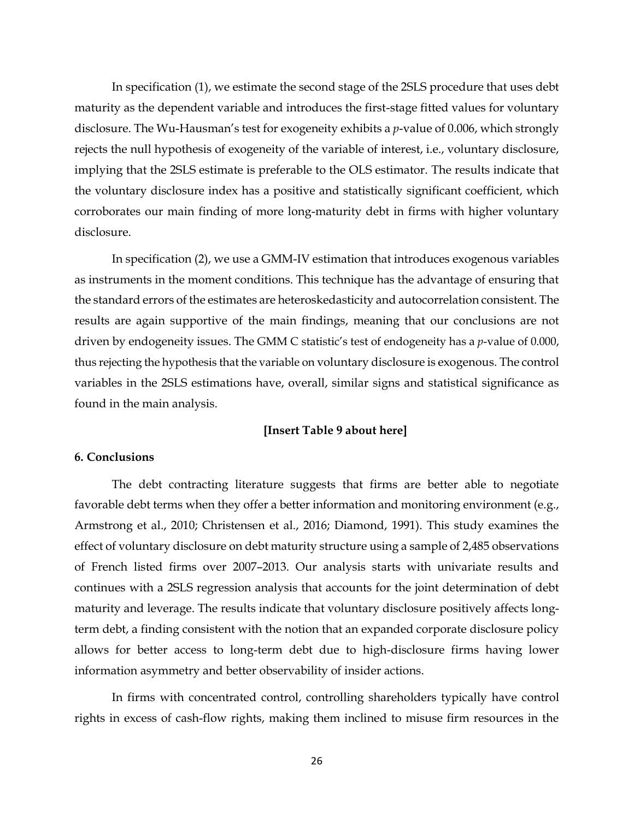In specification (1), we estimate the second stage of the 2SLS procedure that uses debt maturity as the dependent variable and introduces the first-stage fitted values for voluntary disclosure. The Wu-Hausman's test for exogeneity exhibits a *p*-value of 0.006, which strongly rejects the null hypothesis of exogeneity of the variable of interest, i.e., voluntary disclosure, implying that the 2SLS estimate is preferable to the OLS estimator. The results indicate that the voluntary disclosure index has a positive and statistically significant coefficient, which corroborates our main finding of more long-maturity debt in firms with higher voluntary disclosure.

In specification (2), we use a GMM-IV estimation that introduces exogenous variables as instruments in the moment conditions. This technique has the advantage of ensuring that the standard errors of the estimates are heteroskedasticity and autocorrelation consistent. The results are again supportive of the main findings, meaning that our conclusions are not driven by endogeneity issues. The GMM C statistic's test of endogeneity has a *p*-value of 0.000, thus rejecting the hypothesis that the variable on voluntary disclosure is exogenous. The control variables in the 2SLS estimations have, overall, similar signs and statistical significance as found in the main analysis.

### **[Insert Table 9 about here]**

# **6. Conclusions**

The debt contracting literature suggests that firms are better able to negotiate favorable debt terms when they offer a better information and monitoring environment (e.g., Armstrong et al., 2010; Christensen et al., 2016; Diamond, 1991). This study examines the effect of voluntary disclosure on debt maturity structure using a sample of 2,485 observations of French listed firms over 2007–2013. Our analysis starts with univariate results and continues with a 2SLS regression analysis that accounts for the joint determination of debt maturity and leverage. The results indicate that voluntary disclosure positively affects longterm debt, a finding consistent with the notion that an expanded corporate disclosure policy allows for better access to long-term debt due to high-disclosure firms having lower information asymmetry and better observability of insider actions.

In firms with concentrated control, controlling shareholders typically have control rights in excess of cash-flow rights, making them inclined to misuse firm resources in the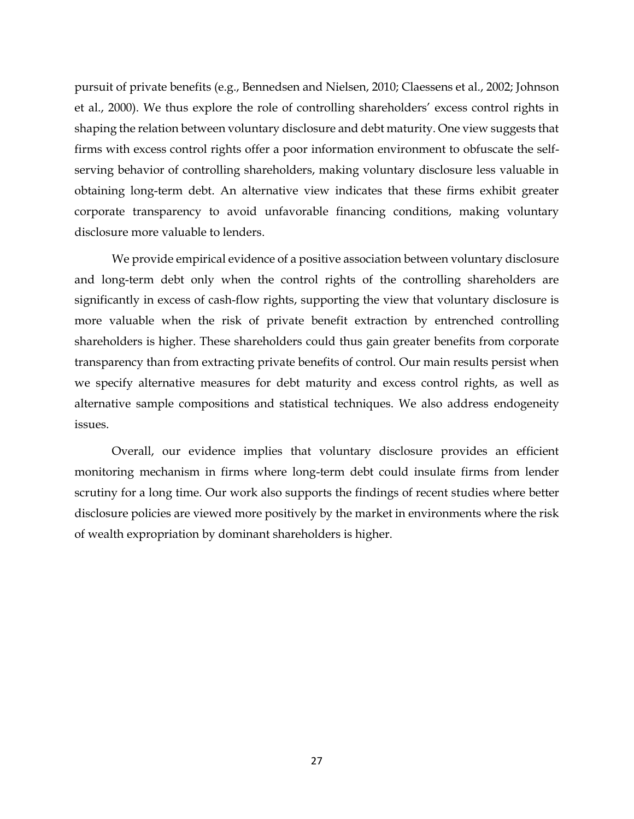pursuit of private benefits (e.g., Bennedsen and Nielsen, 2010; Claessens et al., 2002; Johnson et al., 2000). We thus explore the role of controlling shareholders' excess control rights in shaping the relation between voluntary disclosure and debt maturity. One view suggests that firms with excess control rights offer a poor information environment to obfuscate the selfserving behavior of controlling shareholders, making voluntary disclosure less valuable in obtaining long-term debt. An alternative view indicates that these firms exhibit greater corporate transparency to avoid unfavorable financing conditions, making voluntary disclosure more valuable to lenders.

We provide empirical evidence of a positive association between voluntary disclosure and long-term debt only when the control rights of the controlling shareholders are significantly in excess of cash-flow rights, supporting the view that voluntary disclosure is more valuable when the risk of private benefit extraction by entrenched controlling shareholders is higher. These shareholders could thus gain greater benefits from corporate transparency than from extracting private benefits of control. Our main results persist when we specify alternative measures for debt maturity and excess control rights, as well as alternative sample compositions and statistical techniques. We also address endogeneity issues.

Overall, our evidence implies that voluntary disclosure provides an efficient monitoring mechanism in firms where long-term debt could insulate firms from lender scrutiny for a long time. Our work also supports the findings of recent studies where better disclosure policies are viewed more positively by the market in environments where the risk of wealth expropriation by dominant shareholders is higher.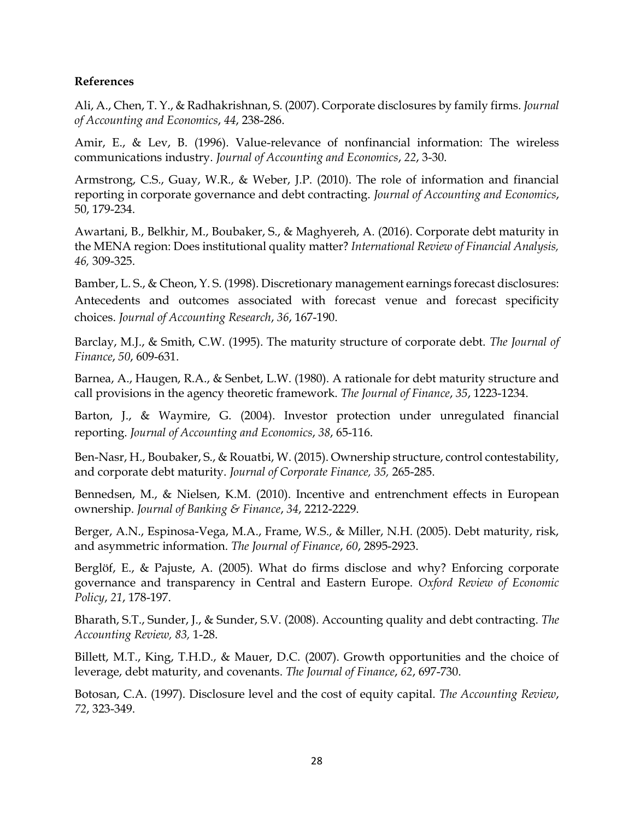# **References**

Ali, A., Chen, T. Y., & Radhakrishnan, S. (2007). Corporate disclosures by family firms. *Journal of Accounting and Economics*, *44*, 238-286.

Amir, E., & Lev, B. (1996). Value-relevance of nonfinancial information: The wireless communications industry. *Journal of Accounting and Economics*, *22*, 3-30.

Armstrong, C.S., Guay, W.R., & Weber, J.P. (2010). The role of information and financial reporting in corporate governance and debt contracting. *Journal of Accounting and Economics*, 50, 179-234.

Awartani, B., Belkhir, M., Boubaker, S., & Maghyereh, A. (2016). Corporate debt maturity in the MENA region: Does institutional quality matter? *International Review of Financial Analysis, 46,* 309-325.

Bamber, L. S., & Cheon, Y. S. (1998). Discretionary management earnings forecast disclosures: Antecedents and outcomes associated with forecast venue and forecast specificity choices. *Journal of Accounting Research*, *36*, 167-190.

Barclay, M.J., & Smith, C.W. (1995). The maturity structure of corporate debt. *The Journal of Finance*, *50*, 609-631.

Barnea, A., Haugen, R.A., & Senbet, L.W. (1980). A rationale for debt maturity structure and call provisions in the agency theoretic framework. *The Journal of Finance*, *35*, 1223-1234.

Barton, J., & Waymire, G. (2004). Investor protection under unregulated financial reporting. *Journal of Accounting and Economics*, *38*, 65-116.

Ben-Nasr, H., Boubaker, S., & Rouatbi, W. (2015). Ownership structure, control contestability, and corporate debt maturity. *Journal of Corporate Finance, 35,* 265-285.

Bennedsen, M., & Nielsen, K.M. (2010). Incentive and entrenchment effects in European ownership. *Journal of Banking & Finance*, *34*, 2212-2229.

Berger, A.N., Espinosa-Vega, M.A., Frame, W.S., & Miller, N.H. (2005). Debt maturity, risk, and asymmetric information. *The Journal of Finance*, *60*, 2895-2923.

Berglöf, E., & Pajuste, A. (2005). What do firms disclose and why? Enforcing corporate governance and transparency in Central and Eastern Europe. *Oxford Review of Economic Policy*, *21*, 178-197.

Bharath, S.T., Sunder, J., & Sunder, S.V. (2008). Accounting quality and debt contracting. *The Accounting Review, 83,* 1-28.

Billett, M.T., King, T.H.D., & Mauer, D.C. (2007). Growth opportunities and the choice of leverage, debt maturity, and covenants. *The Journal of Finance*, *62*, 697-730.

Botosan, C.A. (1997). Disclosure level and the cost of equity capital. *The Accounting Review*, *72*, 323-349.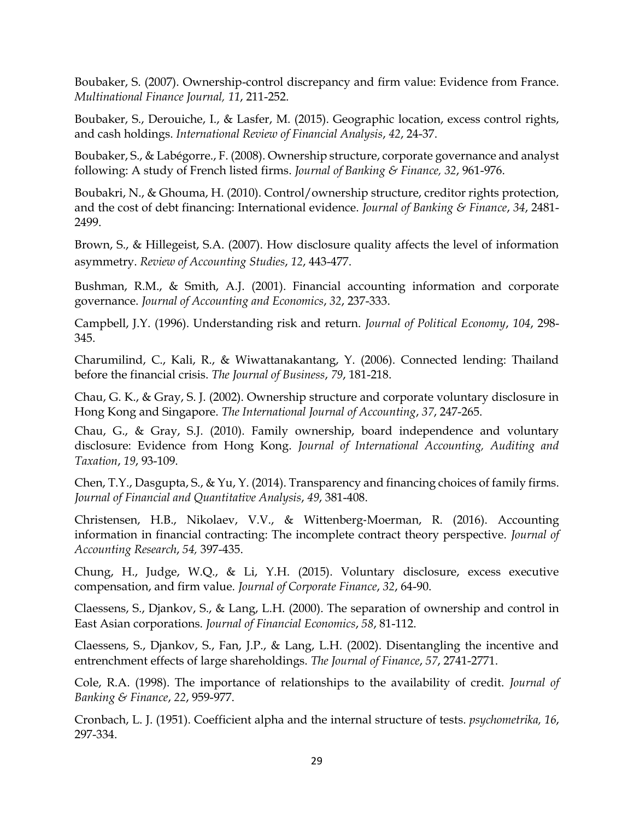Boubaker, S. (2007). Ownership-control discrepancy and firm value: Evidence from France. *Multinational Finance Journal, 11*, 211-252.

Boubaker, S., Derouiche, I., & Lasfer, M. (2015). Geographic location, excess control rights, and cash holdings. *International Review of Financial Analysis*, *42*, 24-37.

Boubaker, S., & Labégorre., F. (2008). Ownership structure, corporate governance and analyst following: A study of French listed firms. *Journal of Banking & Finance, 32*, 961-976.

Boubakri, N., & Ghouma, H. (2010). Control/ownership structure, creditor rights protection, and the cost of debt financing: International evidence. *Journal of Banking & Finance*, *34*, 2481- 2499.

Brown, S., & Hillegeist, S.A. (2007). How disclosure quality affects the level of information asymmetry. *Review of Accounting Studies*, *12*, 443-477.

Bushman, R.M., & Smith, A.J. (2001). Financial accounting information and corporate governance. *Journal of Accounting and Economics*, *32*, 237-333.

Campbell, J.Y. (1996). Understanding risk and return. *Journal of Political Economy*, *104*, 298- 345.

Charumilind, C., Kali, R., & Wiwattanakantang, Y. (2006). Connected lending: Thailand before the financial crisis. *The Journal of Business*, *79*, 181-218.

Chau, G. K., & Gray, S. J. (2002). Ownership structure and corporate voluntary disclosure in Hong Kong and Singapore. *The International Journal of Accounting*, *37*, 247-265.

Chau, G., & Gray, S.J. (2010). Family ownership, board independence and voluntary disclosure: Evidence from Hong Kong. *Journal of International Accounting, Auditing and Taxation*, *19*, 93-109.

Chen, T.Y., Dasgupta, S., & Yu, Y. (2014). Transparency and financing choices of family firms. *Journal of Financial and Quantitative Analysis*, *49*, 381-408.

Christensen, H.B., Nikolaev, V.V., & Wittenberg‐Moerman, R. (2016). Accounting information in financial contracting: The incomplete contract theory perspective. *Journal of Accounting Research*, *54,* 397-435.

Chung, H., Judge, W.Q., & Li, Y.H. (2015). Voluntary disclosure, excess executive compensation, and firm value. *Journal of Corporate Finance*, *32*, 64-90.

Claessens, S., Djankov, S., & Lang, L.H. (2000). The separation of ownership and control in East Asian corporations. *Journal of Financial Economics*, *58*, 81-112.

Claessens, S., Djankov, S., Fan, J.P., & Lang, L.H. (2002). Disentangling the incentive and entrenchment effects of large shareholdings. *The Journal of Finance*, *57*, 2741-2771.

Cole, R.A. (1998). The importance of relationships to the availability of credit. *Journal of Banking & Finance*, *22*, 959-977.

Cronbach, L. J. (1951). Coefficient alpha and the internal structure of tests. *psychometrika, 16*, 297-334.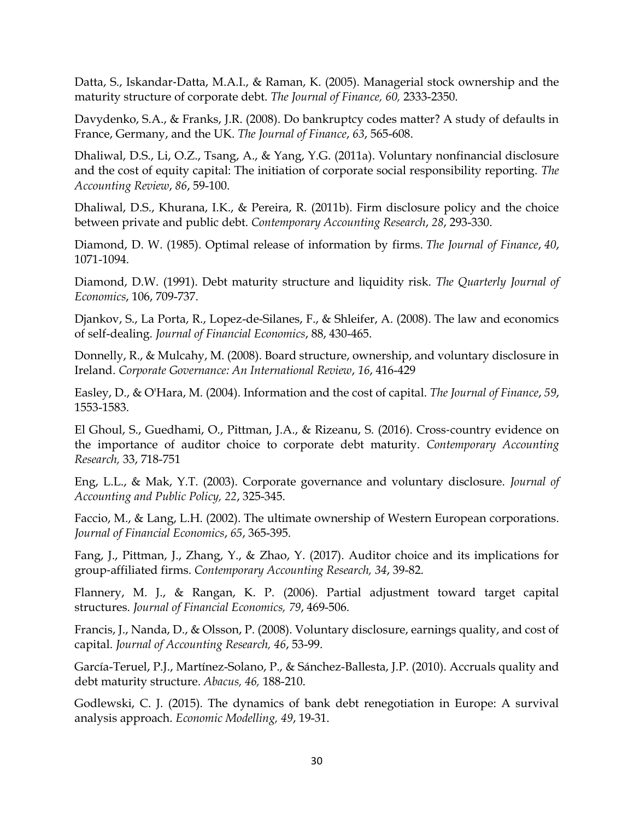Datta, S., Iskandar‐Datta, M.A.I., & Raman, K. (2005). Managerial stock ownership and the maturity structure of corporate debt. *The Journal of Finance, 60,* 2333-2350.

Davydenko, S.A., & Franks, J.R. (2008). Do bankruptcy codes matter? A study of defaults in France, Germany, and the UK. *The Journal of Finance*, *63*, 565-608.

Dhaliwal, D.S., Li, O.Z., Tsang, A., & Yang, Y.G. (2011a). Voluntary nonfinancial disclosure and the cost of equity capital: The initiation of corporate social responsibility reporting. *The Accounting Review*, *86*, 59-100.

Dhaliwal, D.S., Khurana, I.K., & Pereira, R. (2011b). Firm disclosure policy and the choice between private and public debt. *Contemporary Accounting Research*, *28*, 293-330.

Diamond, D. W. (1985). Optimal release of information by firms. *The Journal of Finance*, *40*, 1071-1094.

Diamond, D.W. (1991). Debt maturity structure and liquidity risk. *The Quarterly Journal of Economics*, 106, 709-737.

Djankov, S., La Porta, R., Lopez-de-Silanes, F., & Shleifer, A. (2008). The law and economics of self-dealing. *Journal of Financial Economics*, 88, 430-465.

Donnelly, R., & Mulcahy, M. (2008). Board structure, ownership, and voluntary disclosure in Ireland. *Corporate Governance: An International Review*, *16*, 416-429

Easley, D., & O'Hara, M. (2004). Information and the cost of capital. *The Journal of Finance*, *59*, 1553-1583.

El Ghoul, S., Guedhami, O., Pittman, J.A., & Rizeanu, S. (2016). Cross‐country evidence on the importance of auditor choice to corporate debt maturity. *Contemporary Accounting Research,* 33, 718-751

Eng, L.L., & Mak, Y.T. (2003). Corporate governance and voluntary disclosure. *Journal of Accounting and Public Policy, 22*, 325-345.

Faccio, M., & Lang, L.H. (2002). The ultimate ownership of Western European corporations. *Journal of Financial Economics*, *65*, 365-395.

Fang, J., Pittman, J., Zhang, Y., & Zhao, Y. (2017). Auditor choice and its implications for group‐affiliated firms. *Contemporary Accounting Research, 34*, 39-82.

Flannery, M. J., & Rangan, K. P. (2006). Partial adjustment toward target capital structures. *Journal of Financial Economics, 79*, 469-506.

Francis, J., Nanda, D., & Olsson, P. (2008). Voluntary disclosure, earnings quality, and cost of capital. *Journal of Accounting Research, 46*, 53-99.

García-Teruel, P.J., Martínez-Solano, P., & Sánchez-Ballesta, J.P. (2010). Accruals quality and debt maturity structure. *Abacus, 46,* 188-210.

Godlewski, C. J. (2015). The dynamics of bank debt renegotiation in Europe: A survival analysis approach. *Economic Modelling, 49*, 19-31.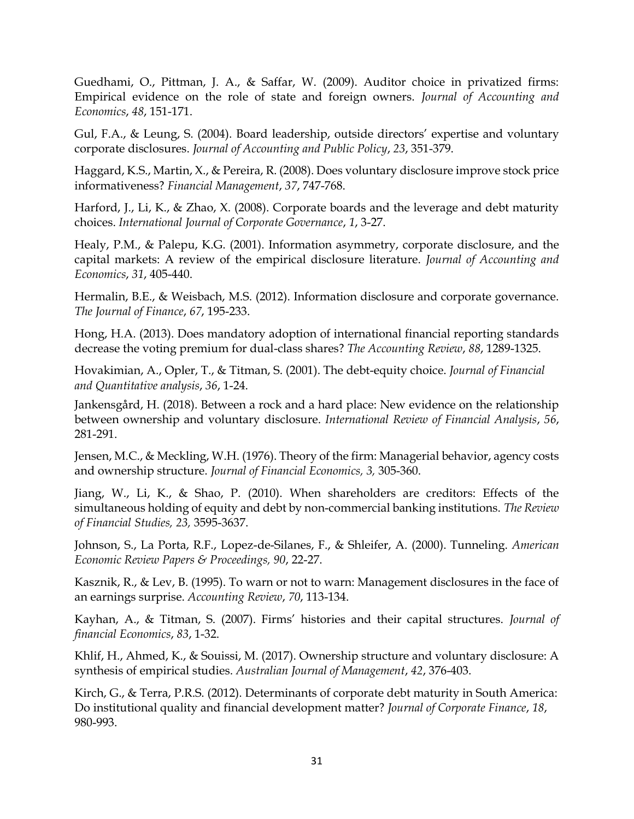Guedhami, O., Pittman, J. A., & Saffar, W. (2009). Auditor choice in privatized firms: Empirical evidence on the role of state and foreign owners. *Journal of Accounting and Economics*, *48*, 151-171.

Gul, F.A., & Leung, S. (2004). Board leadership, outside directors' expertise and voluntary corporate disclosures. *Journal of Accounting and Public Policy*, *23*, 351-379.

Haggard, K.S., Martin, X., & Pereira, R. (2008). Does voluntary disclosure improve stock price informativeness? *Financial Management*, *37*, 747-768.

Harford, J., Li, K., & Zhao, X. (2008). Corporate boards and the leverage and debt maturity choices. *International Journal of Corporate Governance*, *1*, 3-27.

Healy, P.M., & Palepu, K.G. (2001). Information asymmetry, corporate disclosure, and the capital markets: A review of the empirical disclosure literature. *Journal of Accounting and Economics*, *31*, 405-440.

Hermalin, B.E., & Weisbach, M.S. (2012). Information disclosure and corporate governance. *The Journal of Finance*, *67*, 195-233.

Hong, H.A. (2013). Does mandatory adoption of international financial reporting standards decrease the voting premium for dual-class shares? *The Accounting Review*, *88*, 1289-1325.

Hovakimian, A., Opler, T., & Titman, S. (2001). The debt-equity choice. *Journal of Financial and Quantitative analysis*, *36*, 1-24.

Jankensgård, H. (2018). Between a rock and a hard place: New evidence on the relationship between ownership and voluntary disclosure. *International Review of Financial Analysis*, *56*, 281-291.

Jensen, M.C., & Meckling, W.H. (1976). Theory of the firm: Managerial behavior, agency costs and ownership structure. *Journal of Financial Economics, 3,* 305-360.

Jiang, W., Li, K., & Shao, P. (2010). When shareholders are creditors: Effects of the simultaneous holding of equity and debt by non-commercial banking institutions. *The Review of Financial Studies, 23,* 3595-3637.

Johnson, S., La Porta, R.F., Lopez-de-Silanes, F., & Shleifer, A. (2000). Tunneling. *American Economic Review Papers & Proceedings, 90*, 22-27.

Kasznik, R., & Lev, B. (1995). To warn or not to warn: Management disclosures in the face of an earnings surprise. *Accounting Review*, *70*, 113-134.

Kayhan, A., & Titman, S. (2007). Firms' histories and their capital structures. *Journal of financial Economics*, *83*, 1-32.

Khlif, H., Ahmed, K., & Souissi, M. (2017). Ownership structure and voluntary disclosure: A synthesis of empirical studies. *Australian Journal of Management*, *42*, 376-403.

Kirch, G., & Terra, P.R.S. (2012). Determinants of corporate debt maturity in South America: Do institutional quality and financial development matter? *Journal of Corporate Finance*, *18*, 980-993.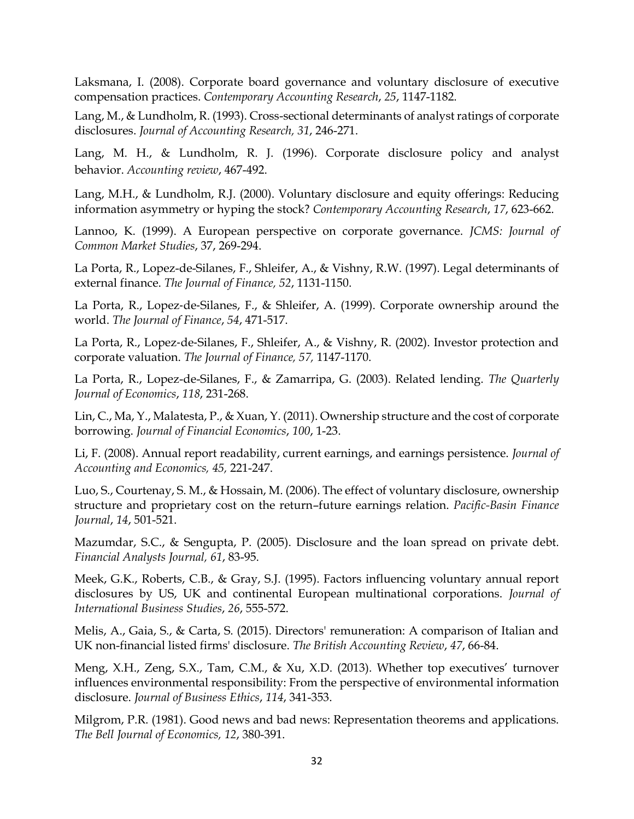Laksmana, I. (2008). Corporate board governance and voluntary disclosure of executive compensation practices. *Contemporary Accounting Research*, *25*, 1147-1182.

Lang, M., & Lundholm, R. (1993). Cross-sectional determinants of analyst ratings of corporate disclosures. *Journal of Accounting Research, 31*, 246-271.

Lang, M. H., & Lundholm, R. J. (1996). Corporate disclosure policy and analyst behavior. *Accounting review*, 467-492.

Lang, M.H., & Lundholm, R.J. (2000). Voluntary disclosure and equity offerings: Reducing information asymmetry or hyping the stock? *Contemporary Accounting Research*, *17*, 623-662.

Lannoo, K. (1999). A European perspective on corporate governance. *JCMS: Journal of Common Market Studies*, 37, 269-294.

La Porta, R., Lopez-de-Silanes, F., Shleifer, A., & Vishny, R.W. (1997). Legal determinants of external finance. *The Journal of Finance, 52*, 1131-1150.

La Porta, R., Lopez-de-Silanes, F., & Shleifer, A. (1999). Corporate ownership around the world. *The Journal of Finance*, *54*, 471-517.

La Porta, R., Lopez-de-Silanes, F., Shleifer, A., & Vishny, R. (2002). Investor protection and corporate valuation. *The Journal of Finance, 57,* 1147-1170.

La Porta, R., Lopez-de-Silanes, F., & Zamarripa, G. (2003). Related lending. *The Quarterly Journal of Economics*, *118*, 231-268.

Lin, C., Ma, Y., Malatesta, P., & Xuan, Y. (2011). Ownership structure and the cost of corporate borrowing. *Journal of Financial Economics*, *100*, 1-23.

Li, F. (2008). Annual report readability, current earnings, and earnings persistence. *Journal of Accounting and Economics, 45,* 221-247.

Luo, S., Courtenay, S. M., & Hossain, M. (2006). The effect of voluntary disclosure, ownership structure and proprietary cost on the return–future earnings relation. *Pacific-Basin Finance Journal*, *14*, 501-521.

Mazumdar, S.C., & Sengupta, P. (2005). Disclosure and the loan spread on private debt. *Financial Analysts Journal, 61*, 83-95.

Meek, G.K., Roberts, C.B., & Gray, S.J. (1995). Factors influencing voluntary annual report disclosures by US, UK and continental European multinational corporations. *Journal of International Business Studies*, *26*, 555-572.

Melis, A., Gaia, S., & Carta, S. (2015). Directors' remuneration: A comparison of Italian and UK non-financial listed firms' disclosure. *The British Accounting Review*, *47*, 66-84.

Meng, X.H., Zeng, S.X., Tam, C.M., & Xu, X.D. (2013). Whether top executives' turnover influences environmental responsibility: From the perspective of environmental information disclosure. *Journal of Business Ethics*, *114*, 341-353.

Milgrom, P.R. (1981). Good news and bad news: Representation theorems and applications. *The Bell Journal of Economics, 12*, 380-391.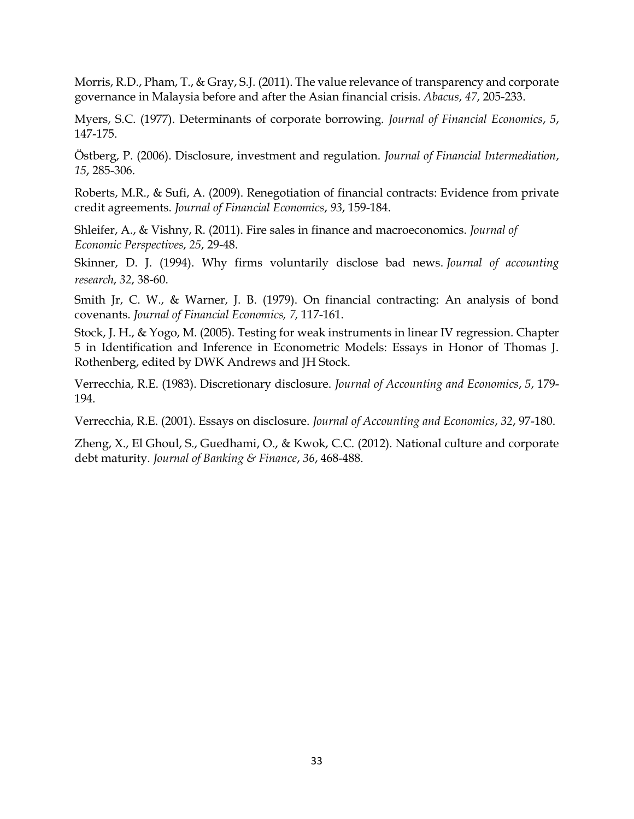Morris, R.D., Pham, T., & Gray, S.J. (2011). The value relevance of transparency and corporate governance in Malaysia before and after the Asian financial crisis. *Abacus*, *47*, 205-233.

Myers, S.C. (1977). Determinants of corporate borrowing. *Journal of Financial Economics*, *5*, 147-175.

Östberg, P. (2006). Disclosure, investment and regulation. *Journal of Financial Intermediation*, *15*, 285-306.

Roberts, M.R., & Sufi, A. (2009). Renegotiation of financial contracts: Evidence from private credit agreements. *Journal of Financial Economics*, *93*, 159-184.

Shleifer, A., & Vishny, R. (2011). Fire sales in finance and macroeconomics. *Journal of Economic Perspectives*, *25*, 29-48.

Skinner, D. J. (1994). Why firms voluntarily disclose bad news. *Journal of accounting research*, *32*, 38-60.

Smith Jr, C. W., & Warner, J. B. (1979). On financial contracting: An analysis of bond covenants. *Journal of Financial Economics, 7,* 117-161.

Stock, J. H., & Yogo, M. (2005). Testing for weak instruments in linear IV regression. Chapter 5 in Identification and Inference in Econometric Models: Essays in Honor of Thomas J. Rothenberg, edited by DWK Andrews and JH Stock.

Verrecchia, R.E. (1983). Discretionary disclosure. *Journal of Accounting and Economics*, *5*, 179- 194.

Verrecchia, R.E. (2001). Essays on disclosure. *Journal of Accounting and Economics*, *32*, 97-180.

Zheng, X., El Ghoul, S., Guedhami, O., & Kwok, C.C. (2012). National culture and corporate debt maturity. *Journal of Banking & Finance*, *36*, 468-488.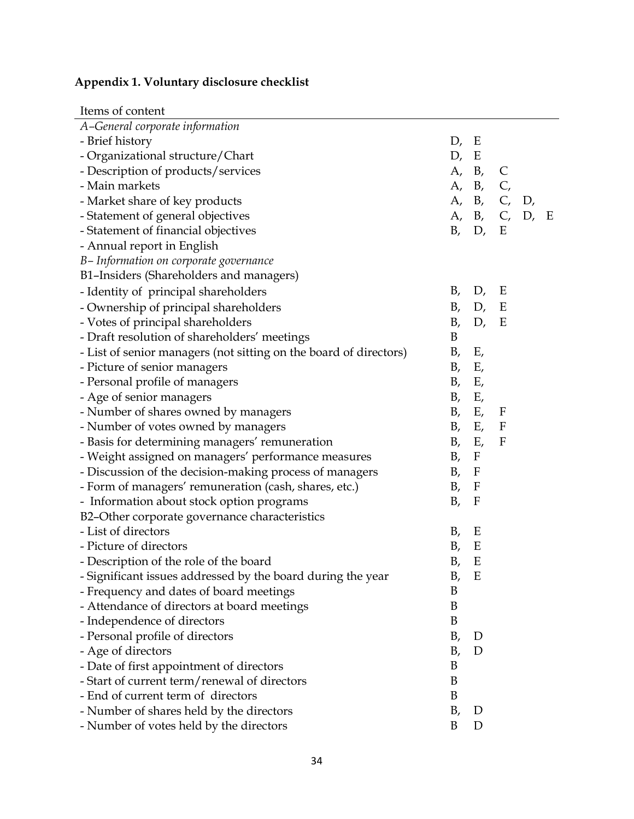# **Appendix 1. Voluntary disclosure checklist**

| Items of content                                                  |      |              |              |             |   |
|-------------------------------------------------------------------|------|--------------|--------------|-------------|---|
| A-General corporate information                                   |      |              |              |             |   |
| - Brief history                                                   | D,   | E            |              |             |   |
| - Organizational structure/Chart                                  | D, E |              |              |             |   |
| - Description of products/services                                |      | A, B, C      |              |             |   |
| - Main markets                                                    | A,   | $B_{\prime}$ | C,           |             |   |
| - Market share of key products                                    |      | A, B, C, D,  |              |             |   |
| - Statement of general objectives                                 |      |              |              | A, B, C, D, | E |
| - Statement of financial objectives                               |      | B, D, E      |              |             |   |
| - Annual report in English                                        |      |              |              |             |   |
| B-Information on corporate governance                             |      |              |              |             |   |
| B1-Insiders (Shareholders and managers)                           |      |              |              |             |   |
| - Identity of principal shareholders                              | B,   | D,           | Ε            |             |   |
| - Ownership of principal shareholders                             | B,   | D,           | E            |             |   |
| - Votes of principal shareholders                                 | B,   | D,           | Е            |             |   |
| - Draft resolution of shareholders' meetings                      | B    |              |              |             |   |
| - List of senior managers (not sitting on the board of directors) | Β,   | Ε,           |              |             |   |
| - Picture of senior managers                                      | B,   | Ε,           |              |             |   |
| - Personal profile of managers                                    | B,   | Ε,           |              |             |   |
| - Age of senior managers                                          | B,   | Ε,           |              |             |   |
| - Number of shares owned by managers                              | B,   | $E_{\prime}$ | F            |             |   |
| - Number of votes owned by managers                               |      | B, E,        | $\mathbf{F}$ |             |   |
| - Basis for determining managers' remuneration                    | B,   | Ε,           | $\mathbf{F}$ |             |   |
| - Weight assigned on managers' performance measures               | B,   | $\mathbf{F}$ |              |             |   |
| - Discussion of the decision-making process of managers           | B,   | $\mathbf{F}$ |              |             |   |
| - Form of managers' remuneration (cash, shares, etc.)             | B,   | $\mathbf{F}$ |              |             |   |
| - Information about stock option programs                         | B,   | $\mathbf{F}$ |              |             |   |
| B2-Other corporate governance characteristics                     |      |              |              |             |   |
| - List of directors                                               | Β,   | E            |              |             |   |
| - Picture of directors                                            | B,   | E            |              |             |   |
| Description of the role of the board                              | B,   | E            |              |             |   |
| - Significant issues addressed by the board during the year       | Β,   | Ε            |              |             |   |
| - Frequency and dates of board meetings                           | B    |              |              |             |   |
| - Attendance of directors at board meetings                       | B    |              |              |             |   |
| - Independence of directors                                       | B    |              |              |             |   |
| - Personal profile of directors                                   | B,   | D            |              |             |   |
| - Age of directors                                                | Β,   | D            |              |             |   |
| - Date of first appointment of directors                          | B    |              |              |             |   |
| - Start of current term/renewal of directors                      | B    |              |              |             |   |
| - End of current term of directors                                | B    |              |              |             |   |
| - Number of shares held by the directors                          | B,   | D            |              |             |   |
| - Number of votes held by the directors                           | B    | D            |              |             |   |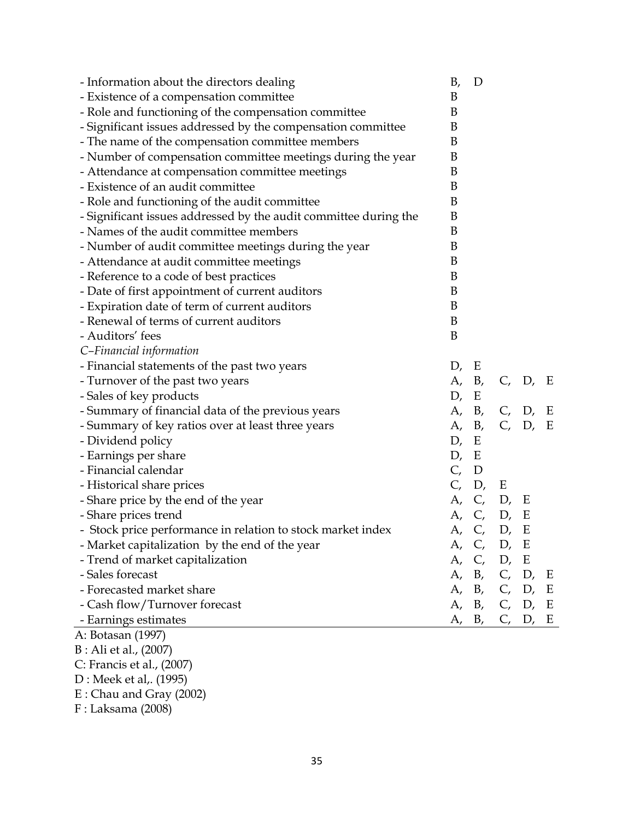| - Information about the directors dealing                        | Β,<br>D  |               |
|------------------------------------------------------------------|----------|---------------|
| - Existence of a compensation committee                          | B        |               |
| - Role and functioning of the compensation committee             | B        |               |
| - Significant issues addressed by the compensation committee     | B        |               |
| - The name of the compensation committee members                 | B        |               |
| - Number of compensation committee meetings during the year      | B        |               |
| - Attendance at compensation committee meetings                  | B        |               |
| - Existence of an audit committee                                | B        |               |
| - Role and functioning of the audit committee                    | B        |               |
| - Significant issues addressed by the audit committee during the | B        |               |
| - Names of the audit committee members                           | B        |               |
| - Number of audit committee meetings during the year             | B        |               |
| - Attendance at audit committee meetings                         | B        |               |
| - Reference to a code of best practices                          | B        |               |
| - Date of first appointment of current auditors                  | B        |               |
| - Expiration date of term of current auditors                    | B        |               |
| - Renewal of terms of current auditors                           | B        |               |
| - Auditors' fees                                                 | B        |               |
| C-Financial information                                          |          |               |
| - Financial statements of the past two years                     | D,<br>Ε  |               |
| - Turnover of the past two years                                 |          | A, B, C, D, E |
| - Sales of key products                                          | D, E     |               |
| - Summary of financial data of the previous years                | A, B,    | C, D, E       |
| - Summary of key ratios over at least three years                | А,<br>B, | C, D, E       |
| - Dividend policy                                                | D,<br>E  |               |
| - Earnings per share                                             | D, E     |               |
| - Financial calendar                                             | C, D     |               |
| - Historical share prices                                        | C, D, E  |               |
| - Share price by the end of the year                             |          | A, C, D, E    |
| - Share prices trend                                             |          | A, C, D, E    |
| - Stock price performance in relation to stock market index      |          | A, C, D, E    |
| - Market capitalization by the end of the year                   |          | A, C, D, E    |
| - Trend of market capitalization                                 | А,       | C, D, E       |
| - Sales forecast                                                 |          | A, B, C, D, E |
| - Forecasted market share                                        |          | A, B, C, D, E |
| - Cash flow/Turnover forecast                                    |          | A, B, C, D, E |
| - Earnings estimates                                             | A, B,    | C, D, E       |
| A: Botasan (1997)                                                |          |               |
| B : Ali et al., (2007)                                           |          |               |
| C: Francis et al., (2007)                                        |          |               |
| D : Meek et al,. (1995)                                          |          |               |

E : Chau and Gray (2002)

F : Laksama (2008)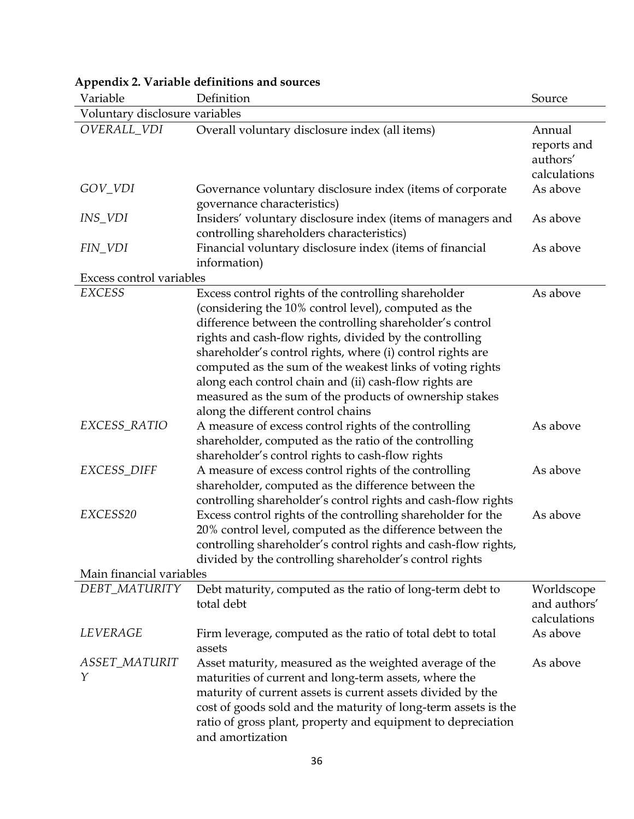| Variable                             | Definition                                                                                                                                                                                                                                                                                                                                                                                                                                                                                                                | Source                                            |
|--------------------------------------|---------------------------------------------------------------------------------------------------------------------------------------------------------------------------------------------------------------------------------------------------------------------------------------------------------------------------------------------------------------------------------------------------------------------------------------------------------------------------------------------------------------------------|---------------------------------------------------|
| Voluntary disclosure variables       |                                                                                                                                                                                                                                                                                                                                                                                                                                                                                                                           |                                                   |
| OVERALL_VDI                          | Overall voluntary disclosure index (all items)                                                                                                                                                                                                                                                                                                                                                                                                                                                                            | Annual<br>reports and<br>authors'<br>calculations |
| GOV_VDI                              | Governance voluntary disclosure index (items of corporate<br>governance characteristics)                                                                                                                                                                                                                                                                                                                                                                                                                                  | As above                                          |
| INS_VDI                              | Insiders' voluntary disclosure index (items of managers and<br>controlling shareholders characteristics)                                                                                                                                                                                                                                                                                                                                                                                                                  | As above                                          |
| FIN_VDI                              | Financial voluntary disclosure index (items of financial<br>information)                                                                                                                                                                                                                                                                                                                                                                                                                                                  | As above                                          |
| Excess control variables             |                                                                                                                                                                                                                                                                                                                                                                                                                                                                                                                           |                                                   |
| <b>EXCESS</b>                        | Excess control rights of the controlling shareholder<br>(considering the 10% control level), computed as the<br>difference between the controlling shareholder's control<br>rights and cash-flow rights, divided by the controlling<br>shareholder's control rights, where (i) control rights are<br>computed as the sum of the weakest links of voting rights<br>along each control chain and (ii) cash-flow rights are<br>measured as the sum of the products of ownership stakes<br>along the different control chains | As above                                          |
| EXCESS_RATIO                         | A measure of excess control rights of the controlling<br>shareholder, computed as the ratio of the controlling<br>shareholder's control rights to cash-flow rights                                                                                                                                                                                                                                                                                                                                                        | As above                                          |
| EXCESS_DIFF                          | A measure of excess control rights of the controlling<br>shareholder, computed as the difference between the<br>controlling shareholder's control rights and cash-flow rights                                                                                                                                                                                                                                                                                                                                             | As above                                          |
| EXCESS20<br>Main financial variables | Excess control rights of the controlling shareholder for the<br>20% control level, computed as the difference between the<br>controlling shareholder's control rights and cash-flow rights,<br>divided by the controlling shareholder's control rights                                                                                                                                                                                                                                                                    | As above                                          |
| DEBT_MATURITY                        |                                                                                                                                                                                                                                                                                                                                                                                                                                                                                                                           |                                                   |
|                                      | Debt maturity, computed as the ratio of long-term debt to<br>total debt                                                                                                                                                                                                                                                                                                                                                                                                                                                   | Worldscope<br>and authors'<br>calculations        |
| LEVERAGE                             | Firm leverage, computed as the ratio of total debt to total<br>assets                                                                                                                                                                                                                                                                                                                                                                                                                                                     | As above                                          |
| ASSET_MATURIT<br>Υ                   | Asset maturity, measured as the weighted average of the<br>maturities of current and long-term assets, where the<br>maturity of current assets is current assets divided by the<br>cost of goods sold and the maturity of long-term assets is the<br>ratio of gross plant, property and equipment to depreciation<br>and amortization                                                                                                                                                                                     | As above                                          |

# **Appendix 2. Variable definitions and sources**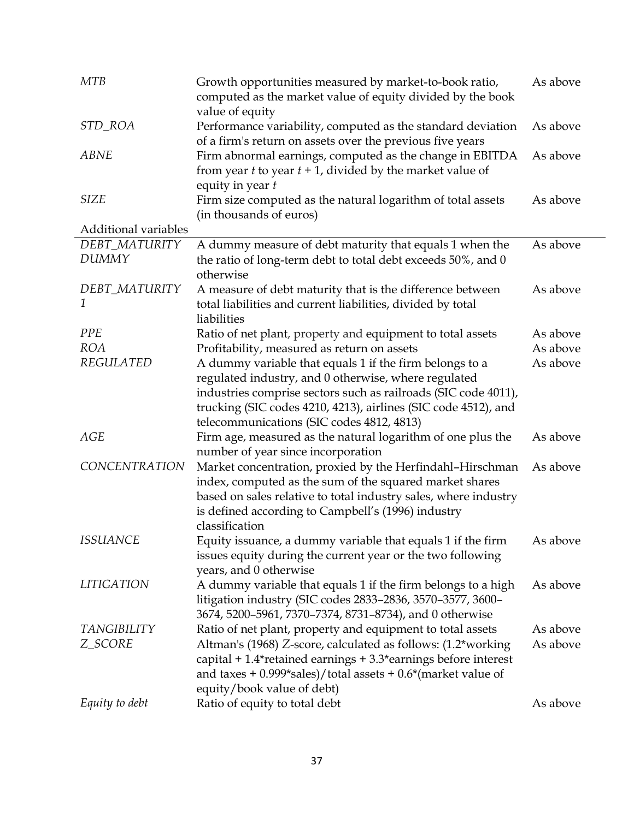| <b>MTB</b>                    | Growth opportunities measured by market-to-book ratio,<br>computed as the market value of equity divided by the book<br>value of equity                                                                                                                                                          | As above             |
|-------------------------------|--------------------------------------------------------------------------------------------------------------------------------------------------------------------------------------------------------------------------------------------------------------------------------------------------|----------------------|
| STD_ROA                       | Performance variability, computed as the standard deviation<br>of a firm's return on assets over the previous five years                                                                                                                                                                         | As above             |
| <b>ABNE</b>                   | Firm abnormal earnings, computed as the change in EBITDA<br>from year $t$ to year $t + 1$ , divided by the market value of<br>equity in year $t$                                                                                                                                                 | As above             |
| <b>SIZE</b>                   | Firm size computed as the natural logarithm of total assets<br>(in thousands of euros)                                                                                                                                                                                                           | As above             |
| Additional variables          |                                                                                                                                                                                                                                                                                                  |                      |
| DEBT_MATURITY<br><b>DUMMY</b> | A dummy measure of debt maturity that equals 1 when the<br>the ratio of long-term debt to total debt exceeds 50%, and 0<br>otherwise                                                                                                                                                             | As above             |
| DEBT_MATURITY<br>1            | A measure of debt maturity that is the difference between<br>total liabilities and current liabilities, divided by total<br>liabilities                                                                                                                                                          | As above             |
| <b>PPE</b>                    | Ratio of net plant, property and equipment to total assets                                                                                                                                                                                                                                       | As above             |
| <b>ROA</b>                    | Profitability, measured as return on assets                                                                                                                                                                                                                                                      | As above             |
| <b>REGULATED</b>              | A dummy variable that equals 1 if the firm belongs to a<br>regulated industry, and 0 otherwise, where regulated<br>industries comprise sectors such as railroads (SIC code 4011),<br>trucking (SIC codes 4210, 4213), airlines (SIC code 4512), and<br>telecommunications (SIC codes 4812, 4813) | As above             |
| <b>AGE</b>                    | Firm age, measured as the natural logarithm of one plus the<br>number of year since incorporation                                                                                                                                                                                                | As above             |
| <b>CONCENTRATION</b>          | Market concentration, proxied by the Herfindahl-Hirschman<br>index, computed as the sum of the squared market shares<br>based on sales relative to total industry sales, where industry<br>is defined according to Campbell's (1996) industry<br>classification                                  | As above             |
| <i>ISSUANCE</i>               | Equity issuance, a dummy variable that equals 1 if the firm<br>issues equity during the current year or the two following<br>years, and 0 otherwise                                                                                                                                              | As above             |
| <b>LITIGATION</b>             | A dummy variable that equals 1 if the firm belongs to a high<br>litigation industry (SIC codes 2833-2836, 3570-3577, 3600-<br>3674, 5200-5961, 7370-7374, 8731-8734), and 0 otherwise                                                                                                            | As above             |
| <b>TANGIBILITY</b><br>Z_SCORE | Ratio of net plant, property and equipment to total assets<br>Altman's (1968) Z-score, calculated as follows: (1.2*working<br>capital + 1.4*retained earnings + 3.3*earnings before interest<br>and taxes + $0.999*$ sales)/total assets + $0.6*$ (market value of<br>equity/book value of debt) | As above<br>As above |
| Equity to debt                | Ratio of equity to total debt                                                                                                                                                                                                                                                                    | As above             |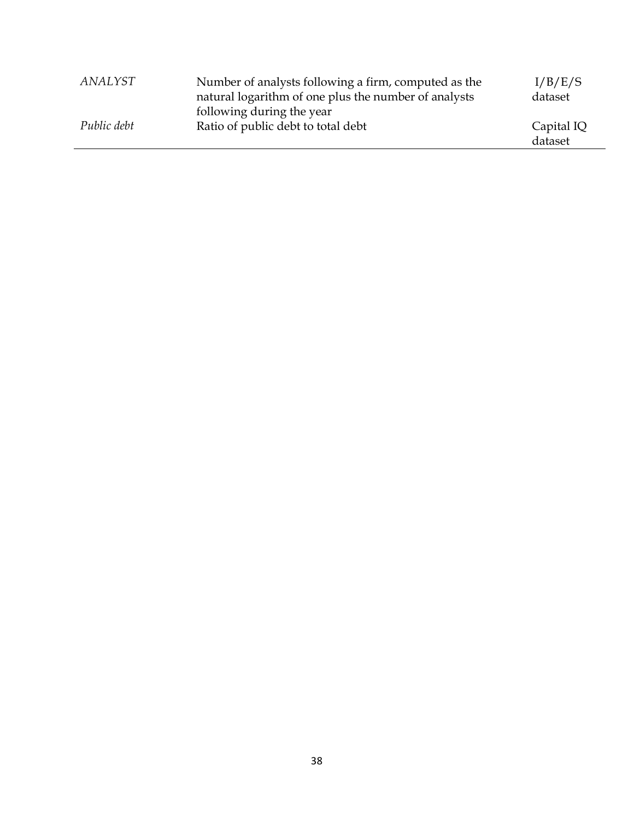| ANALYST     | Number of analysts following a firm, computed as the<br>natural logarithm of one plus the number of analysts | I/B/E/S<br>dataset    |
|-------------|--------------------------------------------------------------------------------------------------------------|-----------------------|
| Public debt | following during the year<br>Ratio of public debt to total debt                                              | Capital IQ<br>dataset |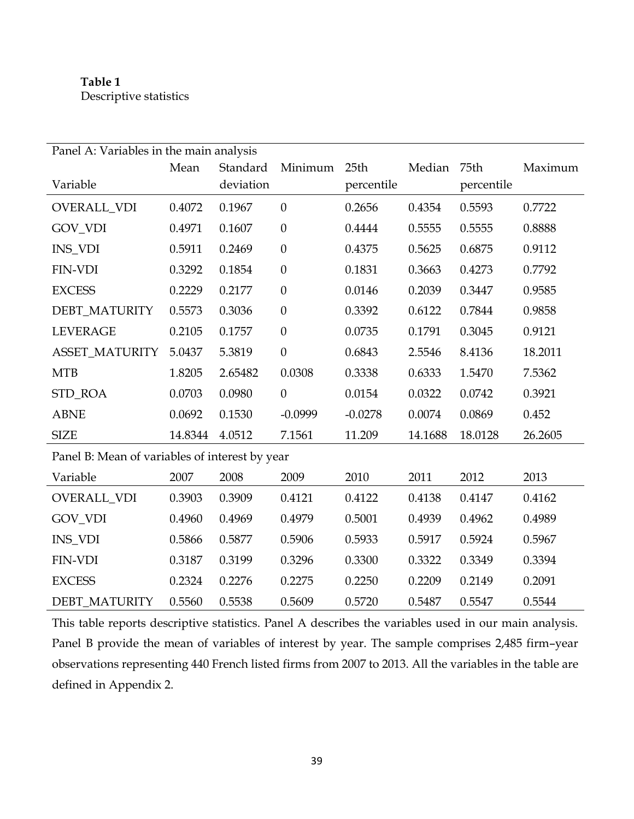# **Table 1** Descriptive statistics

| Panel A: Variables in the main analysis        |         |           |                  |                  |         |            |         |  |  |
|------------------------------------------------|---------|-----------|------------------|------------------|---------|------------|---------|--|--|
|                                                | Mean    | Standard  | Minimum          | 25 <sub>th</sub> | Median  | 75th       | Maximum |  |  |
| Variable                                       |         | deviation |                  | percentile       |         | percentile |         |  |  |
| OVERALL_VDI                                    | 0.4072  | 0.1967    | $\boldsymbol{0}$ | 0.2656           | 0.4354  | 0.5593     | 0.7722  |  |  |
| GOV_VDI                                        | 0.4971  | 0.1607    | $\boldsymbol{0}$ | 0.4444           | 0.5555  | 0.5555     | 0.8888  |  |  |
| <b>INS_VDI</b>                                 | 0.5911  | 0.2469    | $\theta$         | 0.4375           | 0.5625  | 0.6875     | 0.9112  |  |  |
| <b>FIN-VDI</b>                                 | 0.3292  | 0.1854    | $\boldsymbol{0}$ | 0.1831           | 0.3663  | 0.4273     | 0.7792  |  |  |
| <b>EXCESS</b>                                  | 0.2229  | 0.2177    | $\boldsymbol{0}$ | 0.0146           | 0.2039  | 0.3447     | 0.9585  |  |  |
| DEBT_MATURITY                                  | 0.5573  | 0.3036    | $\theta$         | 0.3392           | 0.6122  | 0.7844     | 0.9858  |  |  |
| <b>LEVERAGE</b>                                | 0.2105  | 0.1757    | $\boldsymbol{0}$ | 0.0735           | 0.1791  | 0.3045     | 0.9121  |  |  |
| <b>ASSET_MATURITY</b>                          | 5.0437  | 5.3819    | $\boldsymbol{0}$ | 0.6843           | 2.5546  | 8.4136     | 18.2011 |  |  |
| <b>MTB</b>                                     | 1.8205  | 2.65482   | 0.0308           | 0.3338           | 0.6333  | 1.5470     | 7.5362  |  |  |
| STD_ROA                                        | 0.0703  | 0.0980    | $\boldsymbol{0}$ | 0.0154           | 0.0322  | 0.0742     | 0.3921  |  |  |
| <b>ABNE</b>                                    | 0.0692  | 0.1530    | $-0.0999$        | $-0.0278$        | 0.0074  | 0.0869     | 0.452   |  |  |
| <b>SIZE</b>                                    | 14.8344 | 4.0512    | 7.1561           | 11.209           | 14.1688 | 18.0128    | 26.2605 |  |  |
| Panel B: Mean of variables of interest by year |         |           |                  |                  |         |            |         |  |  |
| Variable                                       | 2007    | 2008      | 2009             | 2010             | 2011    | 2012       | 2013    |  |  |
| OVERALL_VDI                                    | 0.3903  | 0.3909    | 0.4121           | 0.4122           | 0.4138  | 0.4147     | 0.4162  |  |  |
| GOV_VDI                                        | 0.4960  | 0.4969    | 0.4979           | 0.5001           | 0.4939  | 0.4962     | 0.4989  |  |  |
| <b>INS_VDI</b>                                 | 0.5866  | 0.5877    | 0.5906           | 0.5933           | 0.5917  | 0.5924     | 0.5967  |  |  |
| <b>FIN-VDI</b>                                 | 0.3187  | 0.3199    | 0.3296           | 0.3300           | 0.3322  | 0.3349     | 0.3394  |  |  |
| <b>EXCESS</b>                                  | 0.2324  | 0.2276    | 0.2275           | 0.2250           | 0.2209  | 0.2149     | 0.2091  |  |  |
| <b>DEBT MATURITY</b>                           | 0.5560  | 0.5538    | 0.5609           | 0.5720           | 0.5487  | 0.5547     | 0.5544  |  |  |

This table reports descriptive statistics. Panel A describes the variables used in our main analysis. Panel B provide the mean of variables of interest by year. The sample comprises 2,485 firm–year observations representing 440 French listed firms from 2007 to 2013. All the variables in the table are defined in Appendix 2.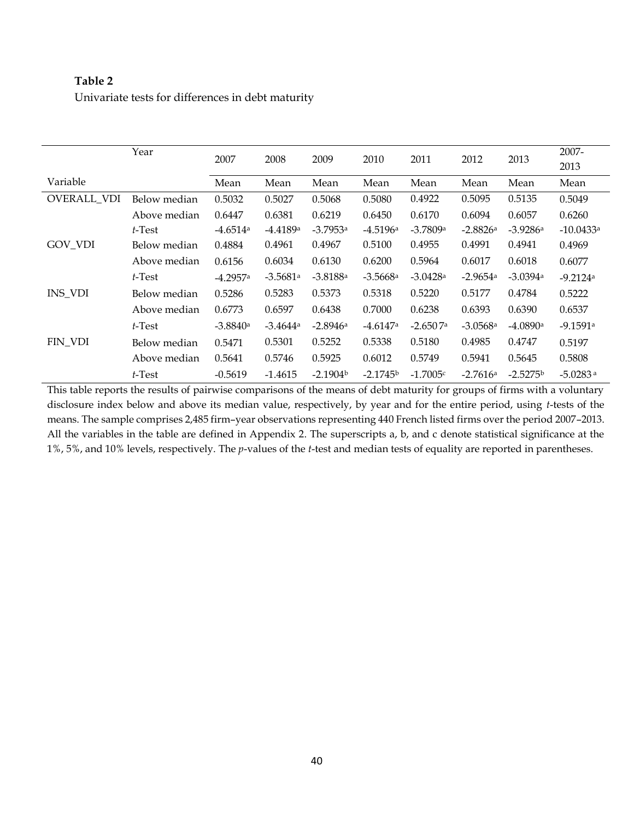# **Table 2**

Univariate tests for differences in debt maturity

|                | Year         | 2007                   | 2008                   | 2009                   | 2010                   | 2011       | 2012                   | 2013       | 2007-                  |
|----------------|--------------|------------------------|------------------------|------------------------|------------------------|------------|------------------------|------------|------------------------|
|                |              |                        |                        |                        |                        |            |                        |            | 2013                   |
| Variable       |              | Mean                   | Mean                   | Mean                   | Mean                   | Mean       | Mean                   | Mean       | Mean                   |
| OVERALL VDI    | Below median | 0.5032                 | 0.5027                 | 0.5068                 | 0.5080                 | 0.4922     | 0.5095                 | 0.5135     | 0.5049                 |
|                | Above median | 0.6447                 | 0.6381                 | 0.6219                 | 0.6450                 | 0.6170     | 0.6094                 | 0.6057     | 0.6260                 |
|                | $t$ -Test    | $-4.6514$ <sup>a</sup> | $-4.4189a$             | $-3.7953a$             | $-4.5196a$             | $-3.7809a$ | $-2.8826a$             | $-3.9286a$ | $-10.0433a$            |
| GOV_VDI        | Below median | 0.4884                 | 0.4961                 | 0.4967                 | 0.5100                 | 0.4955     | 0.4991                 | 0.4941     | 0.4969                 |
|                | Above median | 0.6156                 | 0.6034                 | 0.6130                 | 0.6200                 | 0.5964     | 0.6017                 | 0.6018     | 0.6077                 |
|                | $t$ -Test    | $-4.2957a$             | $-3.5681$ <sup>a</sup> | $-3.8188$ <sup>a</sup> | $-3.5668$ <sup>a</sup> | $-3.0428a$ | $-2.9654$ <sup>a</sup> | $-3.0394a$ | $-9.2124a$             |
| <b>INS_VDI</b> | Below median | 0.5286                 | 0.5283                 | 0.5373                 | 0.5318                 | 0.5220     | 0.5177                 | 0.4784     | 0.5222                 |
|                | Above median | 0.6773                 | 0.6597                 | 0.6438                 | 0.7000                 | 0.6238     | 0.6393                 | 0.6390     | 0.6537                 |
|                | $t$ -Test    | $-3.8840a$             | $-3.4644$ <sup>a</sup> | $-2.8946a$             | $-4.6147$ <sup>a</sup> | $-2.6507a$ | $-3.0568a$             | $-4.0890a$ | $-9.1591a$             |
| FIN VDI        | Below median | 0.5471                 | 0.5301                 | 0.5252                 | 0.5338                 | 0.5180     | 0.4985                 | 0.4747     | 0.5197                 |
|                | Above median | 0.5641                 | 0.5746                 | 0.5925                 | 0.6012                 | 0.5749     | 0.5941                 | 0.5645     | 0.5808                 |
|                | $t$ -Test    | $-0.5619$              | $-1.4615$              | $-2.1904b$             | $-2.1745b$             | $-1.7005c$ | $-2.7616a$             | $-2.5275b$ | $-5.0283$ <sup>a</sup> |

This table reports the results of pairwise comparisons of the means of debt maturity for groups of firms with a voluntary disclosure index below and above its median value, respectively, by year and for the entire period, using *t*-tests of the means. The sample comprises 2,485 firm–year observations representing 440 French listed firms over the period 2007–2013. All the variables in the table are defined in Appendix 2. The superscripts a, b, and c denote statistical significance at the 1%, 5%, and 10% levels, respectively. The *p*-values of the *t*-test and median tests of equality are reported in parentheses.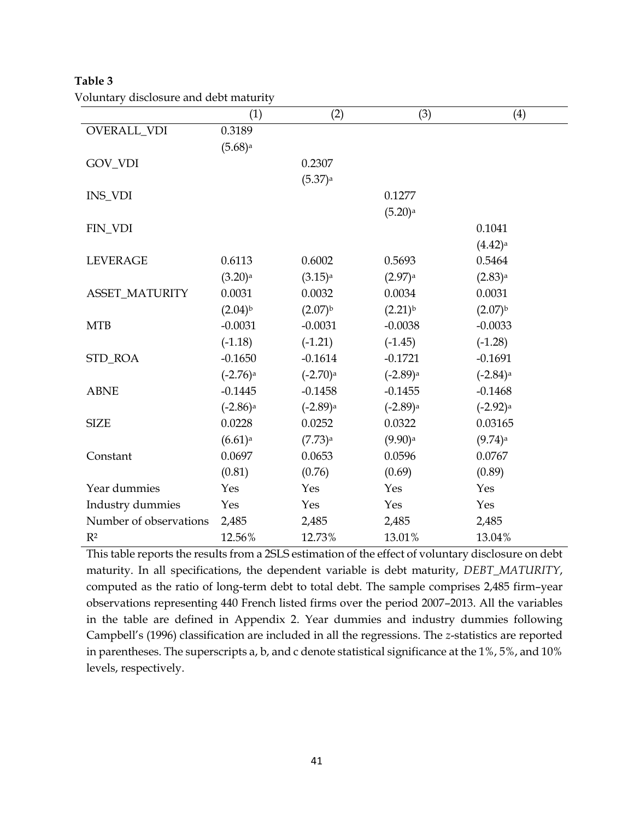|                        | J<br>(1)               | (2)                    | (3)                    | (4)                    |
|------------------------|------------------------|------------------------|------------------------|------------------------|
| OVERALL_VDI            | 0.3189                 |                        |                        |                        |
|                        | $(5.68)$ <sup>a</sup>  |                        |                        |                        |
| GOV_VDI                |                        | 0.2307                 |                        |                        |
|                        |                        | $(5.37)$ <sup>a</sup>  |                        |                        |
| INS_VDI                |                        |                        | 0.1277                 |                        |
|                        |                        |                        | $(5.20)$ <sup>a</sup>  |                        |
| FIN_VDI                |                        |                        |                        | 0.1041                 |
|                        |                        |                        |                        | $(4.42)$ <sup>a</sup>  |
| <b>LEVERAGE</b>        | 0.6113                 | 0.6002                 | 0.5693                 | 0.5464                 |
|                        | $(3.20)$ <sup>a</sup>  | $(3.15)$ <sup>a</sup>  | $(2.97)$ <sup>a</sup>  | $(2.83)$ <sup>a</sup>  |
| <b>ASSET_MATURITY</b>  | 0.0031                 | 0.0032                 | 0.0034                 | 0.0031                 |
|                        | $(2.04)^{b}$           | $(2.07)^{b}$           | $(2.21)^{b}$           | $(2.07)^{b}$           |
| <b>MTB</b>             | $-0.0031$              | $-0.0031$              | $-0.0038$              | $-0.0033$              |
|                        | $(-1.18)$              | $(-1.21)$              | $(-1.45)$              | $(-1.28)$              |
| STD_ROA                | $-0.1650$              | $-0.1614$              | $-0.1721$              | $-0.1691$              |
|                        | $(-2.76)$ <sup>a</sup> | $(-2.70)$ <sup>a</sup> | $(-2.89)$ <sup>a</sup> | $(-2.84)$ <sup>a</sup> |
| <b>ABNE</b>            | $-0.1445$              | $-0.1458$              | $-0.1455$              | $-0.1468$              |
|                        | $(-2.86)$ <sup>a</sup> | $(-2.89)$ <sup>a</sup> | $(-2.89)$ <sup>a</sup> | $(-2.92)$ <sup>a</sup> |
| <b>SIZE</b>            | 0.0228                 | 0.0252                 | 0.0322                 | 0.03165                |
|                        | $(6.61)$ <sup>a</sup>  | $(7.73)$ <sup>a</sup>  | $(9.90)$ <sup>a</sup>  | $(9.74)$ <sup>a</sup>  |
| Constant               | 0.0697                 | 0.0653                 | 0.0596                 | 0.0767                 |
|                        | (0.81)                 | (0.76)                 | (0.69)                 | (0.89)                 |
| Year dummies           | Yes                    | Yes                    | Yes                    | Yes                    |
| Industry dummies       | Yes                    | Yes                    | Yes                    | Yes                    |
| Number of observations | 2,485                  | 2,485                  | 2,485                  | 2,485                  |
| R <sup>2</sup>         | 12.56%                 | 12.73%                 | 13.01%                 | 13.04%                 |

**Table 3** Voluntary disclosure and debt maturity

This table reports the results from a 2SLS estimation of the effect of voluntary disclosure on debt maturity. In all specifications, the dependent variable is debt maturity, *DEBT\_MATURITY*, computed as the ratio of long-term debt to total debt. The sample comprises 2,485 firm–year observations representing 440 French listed firms over the period 2007–2013. All the variables in the table are defined in Appendix 2. Year dummies and industry dummies following Campbell's (1996) classification are included in all the regressions. The *z*-statistics are reported in parentheses. The superscripts a, b, and c denote statistical significance at the 1%, 5%, and 10% levels, respectively.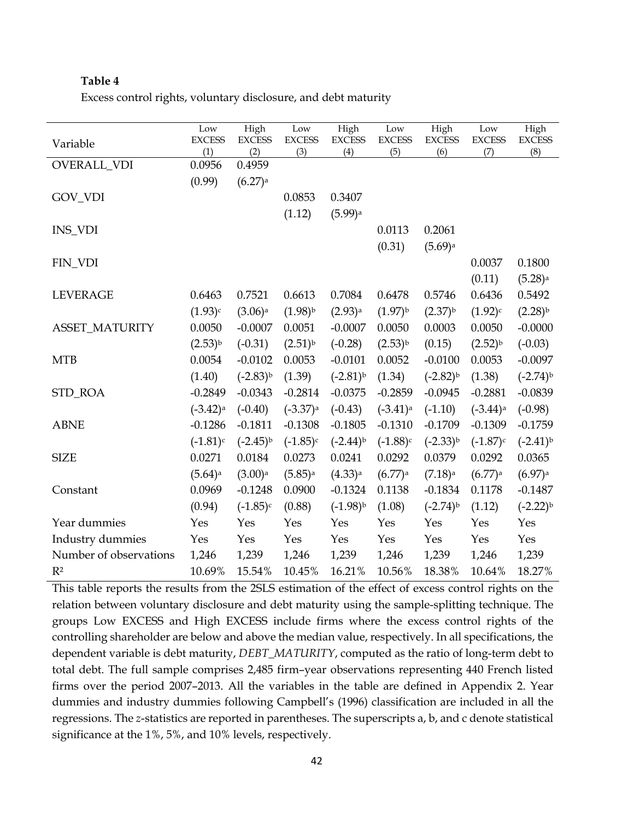## **Table 4**

|  |  | Excess control rights, voluntary disclosure, and debt maturity |  |
|--|--|----------------------------------------------------------------|--|
|  |  |                                                                |  |

|                        | Low                    | High                  | Low                    | High                   | $_{\rm Low}$           | High                  | Low                    | High                  |
|------------------------|------------------------|-----------------------|------------------------|------------------------|------------------------|-----------------------|------------------------|-----------------------|
| Variable               | <b>EXCESS</b><br>(1)   | <b>EXCESS</b><br>(2)  | <b>EXCESS</b><br>(3)   | <b>EXCESS</b><br>(4)   | <b>EXCESS</b><br>(5)   | <b>EXCESS</b><br>(6)  | <b>EXCESS</b><br>(7)   | <b>EXCESS</b><br>(8)  |
| OVERALL_VDI            | 0.0956                 | 0.4959                |                        |                        |                        |                       |                        |                       |
|                        | (0.99)                 | $(6.27)$ <sup>a</sup> |                        |                        |                        |                       |                        |                       |
| GOV_VDI                |                        |                       | 0.0853                 | 0.3407                 |                        |                       |                        |                       |
|                        |                        |                       | (1.12)                 | $(5.99)$ a             |                        |                       |                        |                       |
| INS_VDI                |                        |                       |                        |                        | 0.0113                 | 0.2061                |                        |                       |
|                        |                        |                       |                        |                        | (0.31)                 | $(5.69)$ <sup>a</sup> |                        |                       |
| FIN_VDI                |                        |                       |                        |                        |                        |                       | 0.0037                 | 0.1800                |
|                        |                        |                       |                        |                        |                        |                       | (0.11)                 | $(5.28)$ <sup>a</sup> |
| <b>LEVERAGE</b>        | 0.6463                 | 0.7521                | 0.6613                 | 0.7084                 | 0.6478                 | 0.5746                | 0.6436                 | 0.5492                |
|                        | (1.93)c                | $(3.06)$ <sup>a</sup> | $(1.98)^{b}$           | $(2.93)$ <sup>a</sup>  | $(1.97)^{b}$           | $(2.37)^{b}$          | (1.92)c                | $(2.28)^{b}$          |
| <b>ASSET_MATURITY</b>  | 0.0050                 | $-0.0007$             | 0.0051                 | $-0.0007$              | 0.0050                 | 0.0003                | 0.0050                 | $-0.0000$             |
|                        | $(2.53)^{b}$           | $(-0.31)$             | $(2.51)^{b}$           | $(-0.28)$              | $(2.53)^{b}$           | (0.15)                | $(2.52)^{b}$           | $(-0.03)$             |
| <b>MTB</b>             | 0.0054                 | $-0.0102$             | 0.0053                 | $-0.0101$              | 0.0052                 | $-0.0100$             | 0.0053                 | $-0.0097$             |
|                        | (1.40)                 | $(-2.83)^{b}$         | (1.39)                 | $(-2.81)^{b}$          | (1.34)                 | $(-2.82)^{b}$         | (1.38)                 | $(-2.74)^{b}$         |
| STD_ROA                | $-0.2849$              | $-0.0343$             | $-0.2814$              | $-0.0375$              | $-0.2859$              | $-0.0945$             | $-0.2881$              | $-0.0839$             |
|                        | $(-3.42)$ <sup>a</sup> | $(-0.40)$             | $(-3.37)$ <sup>a</sup> | $(-0.43)$              | $(-3.41)$ <sup>a</sup> | $(-1.10)$             | $(-3.44)$ <sup>a</sup> | $(-0.98)$             |
| <b>ABNE</b>            | $-0.1286$              | $-0.1811$             | $-0.1308$              | $-0.1805$              | $-0.1310$              | $-0.1709$             | $-0.1309$              | $-0.1759$             |
|                        | $(-1.81)$ c            | $(-2.45)^{b}$         | $(-1.85)c$             | $(-2.44)$ <sup>b</sup> | $(-1.88)c$             | $(-2.33)^{b}$         | $(-1.87)$ c            | $(-2.41)^{b}$         |
| <b>SIZE</b>            | 0.0271                 | 0.0184                | 0.0273                 | 0.0241                 | 0.0292                 | 0.0379                | 0.0292                 | 0.0365                |
|                        | $(5.64)$ <sup>a</sup>  | $(3.00)$ <sup>a</sup> | $(5.85)$ <sup>a</sup>  | $(4.33)$ <sup>a</sup>  | $(6.77)$ <sup>a</sup>  | $(7.18)$ <sup>a</sup> | $(6.77)$ <sup>a</sup>  | $(6.97)$ <sup>a</sup> |
| Constant               | 0.0969                 | $-0.1248$             | 0.0900                 | $-0.1324$              | 0.1138                 | $-0.1834$             | 0.1178                 | $-0.1487$             |
|                        | (0.94)                 | $(-1.85)c$            | (0.88)                 | $(-1.98)^{b}$          | (1.08)                 | $(-2.74)^{b}$         | (1.12)                 | $(-2.22)^{b}$         |
| Year dummies           | Yes                    | Yes                   | Yes                    | Yes                    | Yes                    | Yes                   | Yes                    | Yes                   |
| Industry dummies       | Yes                    | Yes                   | Yes                    | Yes                    | Yes                    | Yes                   | Yes                    | Yes                   |
| Number of observations | 1,246                  | 1,239                 | 1,246                  | 1,239                  | 1,246                  | 1,239                 | 1,246                  | 1,239                 |
| $R^2$                  | 10.69%                 | 15.54%                | 10.45%                 | 16.21%                 | 10.56%                 | 18.38%                | 10.64%                 | 18.27%                |

This table reports the results from the 2SLS estimation of the effect of excess control rights on the relation between voluntary disclosure and debt maturity using the sample-splitting technique. The groups Low EXCESS and High EXCESS include firms where the excess control rights of the controlling shareholder are below and above the median value, respectively. In all specifications, the dependent variable is debt maturity, *DEBT\_MATURITY*, computed as the ratio of long-term debt to total debt. The full sample comprises 2,485 firm–year observations representing 440 French listed firms over the period 2007–2013. All the variables in the table are defined in Appendix 2. Year dummies and industry dummies following Campbell's (1996) classification are included in all the regressions. The *z*-statistics are reported in parentheses. The superscripts a, b, and c denote statistical significance at the 1%, 5%, and 10% levels, respectively.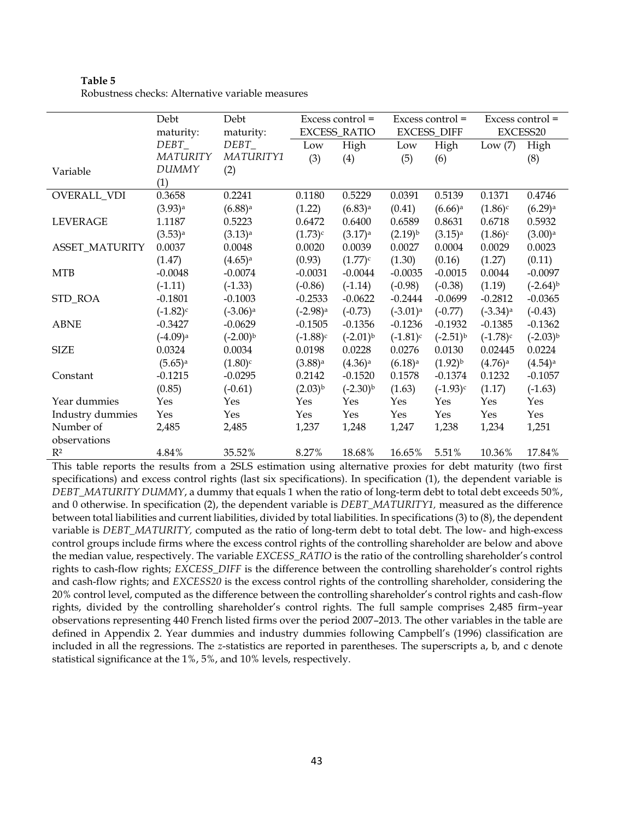| <b>Table 5</b>                                   |
|--------------------------------------------------|
| Robustness checks: Alternative variable measures |

|                  | Debt                   | Debt                   | Excess control =       |                       | Excess control =      |                       | Excess control =<br>EXCESS20 |                       |
|------------------|------------------------|------------------------|------------------------|-----------------------|-----------------------|-----------------------|------------------------------|-----------------------|
|                  | maturity:              | maturity:              |                        | <b>EXCESS_RATIO</b>   | <b>EXCESS_DIFF</b>    |                       |                              |                       |
|                  | DEBT                   | DEBT                   | Low                    | High                  | Low                   | High                  | Low $(7)$                    | High                  |
|                  | MATURITY               | MATURITY1              | (3)                    | (4)                   | (5)                   | (6)                   |                              | (8)                   |
| Variable         | <b>DUMMY</b>           | (2)                    |                        |                       |                       |                       |                              |                       |
|                  | (1)                    |                        |                        |                       |                       |                       |                              |                       |
| OVERALL_VDI      | 0.3658                 | 0.2241                 | 0.1180                 | 0.5229                | 0.0391                | 0.5139                | 0.1371                       | 0.4746                |
|                  | $(3.93)$ <sup>a</sup>  | $(6.88)$ <sup>a</sup>  | (1.22)                 | $(6.83)$ <sup>a</sup> | (0.41)                | $(6.66)$ <sup>a</sup> | $(1.86)^c$                   | $(6.29)$ <sup>a</sup> |
| <b>LEVERAGE</b>  | 1.1187                 | 0.5223                 | 0.6472                 | 0.6400                | 0.6589                | 0.8631                | 0.6718                       | 0.5932                |
|                  | $(3.53)$ <sup>a</sup>  | $(3.13)$ <sup>a</sup>  | (1.73)c                | $(3.17)$ <sup>a</sup> | $(2.19)^{b}$          | $(3.15)$ <sup>a</sup> | $(1.86)^c$                   | $(3.00)$ <sup>a</sup> |
| ASSET_MATURITY   | 0.0037                 | 0.0048                 | 0.0020                 | 0.0039                | 0.0027                | 0.0004                | 0.0029                       | 0.0023                |
|                  | (1.47)                 | $(4.65)$ <sup>a</sup>  | (0.93)                 | $(1.77)^c$            | (1.30)                | (0.16)                | (1.27)                       | (0.11)                |
| MTB              | $-0.0048$              | $-0.0074$              | $-0.0031$              | $-0.0044$             | $-0.0035$             | $-0.0015$             | 0.0044                       | $-0.0097$             |
|                  | $(-1.11)$              | $(-1.33)$              | $(-0.86)$              | $(-1.14)$             | $(-0.98)$             | $(-0.38)$             | (1.19)                       | $(-2.64)^{b}$         |
| STD_ROA          | $-0.1801$              | $-0.1003$              | $-0.2533$              | $-0.0622$             | $-0.2444$             | $-0.0699$             | $-0.2812$                    | $-0.0365$             |
|                  | $(-1.82)^c$            | $(-3.06)$ <sup>a</sup> | $(-2.98)$ <sup>a</sup> | $(-0.73)$             | $(-3.01)^a$           | $(-0.77)$             | $(-3.34)$ <sup>a</sup>       | $(-0.43)$             |
| <b>ABNE</b>      | $-0.3427$              | $-0.0629$              | $-0.1505$              | $-0.1356$             | $-0.1236$             | $-0.1932$             | $-0.1385$                    | $-0.1362$             |
|                  | $(-4.09)$ <sup>a</sup> | $(-2.00)^{b}$          | $(-1.88)^c$            | $(-2.01)^{b}$         | $(-1.81)$ c           | $(-2.51)^{b}$         | $(-1.78)^c$                  | $(-2.03)^{b}$         |
| <b>SIZE</b>      | 0.0324                 | 0.0034                 | 0.0198                 | 0.0228                | 0.0276                | 0.0130                | 0.02445                      | 0.0224                |
|                  | $(5.65)$ <sup>a</sup>  | $(1.80)$ <sup>c</sup>  | $(3.88)$ <sup>a</sup>  | $(4.36)$ <sup>a</sup> | $(6.18)$ <sup>a</sup> | $(1.92)^{b}$          | $(4.76)$ <sup>a</sup>        | $(4.54)$ <sup>a</sup> |
| Constant         | $-0.1215$              | $-0.0295$              | 0.2142                 | $-0.1520$             | 0.1578                | $-0.1374$             | 0.1232                       | $-0.1057$             |
|                  | (0.85)                 | $(-0.61)$              | $(2.03)^{b}$           | $(-2.30)^{b}$         | (1.63)                | $(-1.93)c$            | (1.17)                       | $(-1.63)$             |
| Year dummies     | Yes                    | Yes                    | Yes                    | Yes                   | Yes                   | Yes                   | Yes                          | Yes                   |
| Industry dummies | Yes                    | Yes                    | Yes                    | Yes                   | Yes                   | Yes                   | Yes                          | Yes                   |
| Number of        | 2,485                  | 2,485                  | 1,237                  | 1,248                 | 1,247                 | 1,238                 | 1,234                        | 1,251                 |
| observations     |                        |                        |                        |                       |                       |                       |                              |                       |
| $R^2$            | 4.84%                  | 35.52%                 | 8.27%                  | 18.68%                | 16.65%                | 5.51%                 | 10.36%                       | 17.84%                |

This table reports the results from a 2SLS estimation using alternative proxies for debt maturity (two first specifications) and excess control rights (last six specifications). In specification (1), the dependent variable is *DEBT\_MATURITY DUMMY*, a dummy that equals 1 when the ratio of long-term debt to total debt exceeds 50%, and 0 otherwise. In specification (2), the dependent variable is *DEBT\_MATURITY1,* measured as the difference between total liabilities and current liabilities, divided by total liabilities. In specifications (3) to (8), the dependent variable is *DEBT\_MATURITY,* computed as the ratio of long-term debt to total debt. The low- and high-excess control groups include firms where the excess control rights of the controlling shareholder are below and above the median value, respectively. The variable *EXCESS\_RATIO* is the ratio of the controlling shareholder's control rights to cash-flow rights; *EXCESS\_DIFF* is the difference between the controlling shareholder's control rights and cash-flow rights; and *EXCESS20* is the excess control rights of the controlling shareholder, considering the 20% control level, computed as the difference between the controlling shareholder's control rights and cash-flow rights, divided by the controlling shareholder's control rights. The full sample comprises 2,485 firm–year observations representing 440 French listed firms over the period 2007–2013. The other variables in the table are defined in Appendix 2. Year dummies and industry dummies following Campbell's (1996) classification are included in all the regressions. The *z*-statistics are reported in parentheses. The superscripts a, b, and c denote statistical significance at the 1%, 5%, and 10% levels, respectively.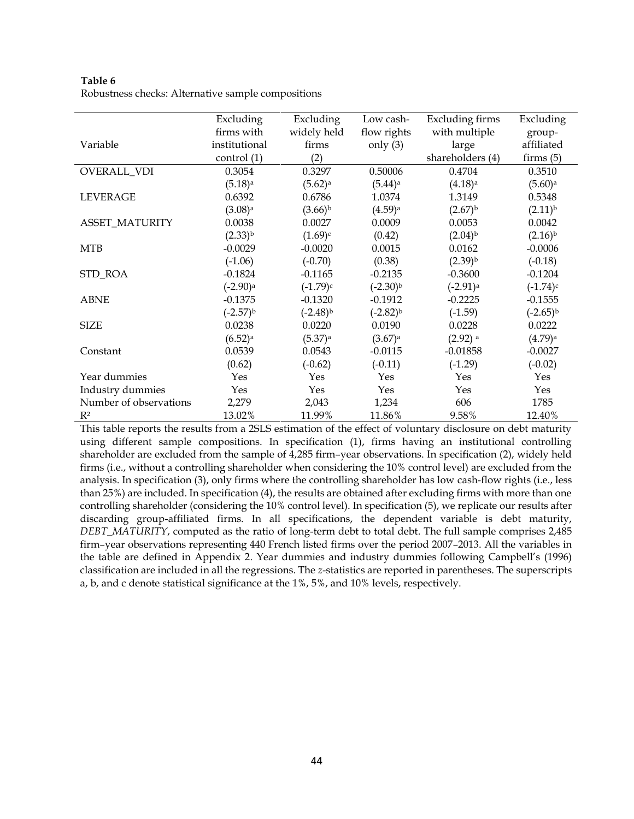**Table 6** Robustness checks: Alternative sample compositions

|                        | Excluding              | Excluding             | Low cash-             | <b>Excluding firms</b> | Excluding             |
|------------------------|------------------------|-----------------------|-----------------------|------------------------|-----------------------|
|                        | firms with             | widely held           | flow rights           | with multiple          | group-                |
| Variable               | institutional          | firms                 | only $(3)$            | large                  | affiliated            |
|                        | control (1)            | (2)                   |                       | shareholders (4)       | firms $(5)$           |
| OVERALL_VDI            | 0.3054                 | 0.3297                | 0.50006               | 0.4704                 | 0.3510                |
|                        | $(5.18)$ <sup>a</sup>  | $(5.62)^a$            | $(5.44)$ <sup>a</sup> | $(4.18)$ <sup>a</sup>  | $(5.60)$ <sup>a</sup> |
| <b>LEVERAGE</b>        | 0.6392                 | 0.6786                | 1.0374                | 1.3149                 | 0.5348                |
|                        | $(3.08)$ <sup>a</sup>  | $(3.66)^{b}$          | $(4.59)$ <sup>a</sup> | $(2.67)^{b}$           | $(2.11)^{b}$          |
| ASSET_MATURITY         | 0.0038                 | 0.0027                | 0.0009                | 0.0053                 | 0.0042                |
|                        | $(2.33)^{b}$           | $(1.69)^c$            | (0.42)                | $(2.04)^{b}$           | $(2.16)^{b}$          |
| <b>MTB</b>             | $-0.0029$              | $-0.0020$             | 0.0015                | 0.0162                 | $-0.0006$             |
|                        | $(-1.06)$              | $(-0.70)$             | (0.38)                | $(2.39)^{b}$           | $(-0.18)$             |
| STD_ROA                | $-0.1824$              | $-0.1165$             | $-0.2135$             | $-0.3600$              | $-0.1204$             |
|                        | $(-2.90)$ <sup>a</sup> | $(-1.79)^c$           | $(-2.30)^{b}$         | $(-2.91)$ <sup>a</sup> | $(-1.74)^c$           |
| <b>ABNE</b>            | $-0.1375$              | $-0.1320$             | $-0.1912$             | $-0.2225$              | $-0.1555$             |
|                        | $(-2.57)^{b}$          | $(-2.48)^{b}$         | $(-2.82)^{b}$         | $(-1.59)$              | $(-2.65)^{b}$         |
| <b>SIZE</b>            | 0.0238                 | 0.0220                | 0.0190                | 0.0228                 | 0.0222                |
|                        | $(6.52)$ <sup>a</sup>  | $(5.37)$ <sup>a</sup> | $(3.67)$ <sup>a</sup> | $(2.92)$ <sup>a</sup>  | $(4.79)$ <sup>a</sup> |
| Constant               | 0.0539                 | 0.0543                | $-0.0115$             | $-0.01858$             | $-0.0027$             |
|                        | (0.62)                 | $(-0.62)$             | $(-0.11)$             | $(-1.29)$              | $(-0.02)$             |
| Year dummies           | Yes                    | Yes                   | Yes                   | Yes                    | Yes                   |
| Industry dummies       | Yes                    | Yes                   | Yes                   | Yes                    | Yes                   |
| Number of observations | 2,279                  | 2,043                 | 1,234                 | 606                    | 1785                  |
| $R^2$                  | 13.02%                 | 11.99%                | 11.86%                | 9.58%                  | 12.40%                |

This table reports the results from a 2SLS estimation of the effect of voluntary disclosure on debt maturity using different sample compositions. In specification (1), firms having an institutional controlling shareholder are excluded from the sample of 4,285 firm–year observations. In specification (2), widely held firms (i.e., without a controlling shareholder when considering the 10% control level) are excluded from the analysis. In specification (3), only firms where the controlling shareholder has low cash-flow rights (i.e., less than 25%) are included. In specification (4), the results are obtained after excluding firms with more than one controlling shareholder (considering the 10% control level). In specification (5), we replicate our results after discarding group-affiliated firms. In all specifications, the dependent variable is debt maturity, *DEBT\_MATURITY*, computed as the ratio of long-term debt to total debt. The full sample comprises 2,485 firm–year observations representing 440 French listed firms over the period 2007–2013. All the variables in the table are defined in Appendix 2. Year dummies and industry dummies following Campbell's (1996) classification are included in all the regressions. The *z*-statistics are reported in parentheses. The superscripts a, b, and c denote statistical significance at the 1%, 5%, and 10% levels, respectively.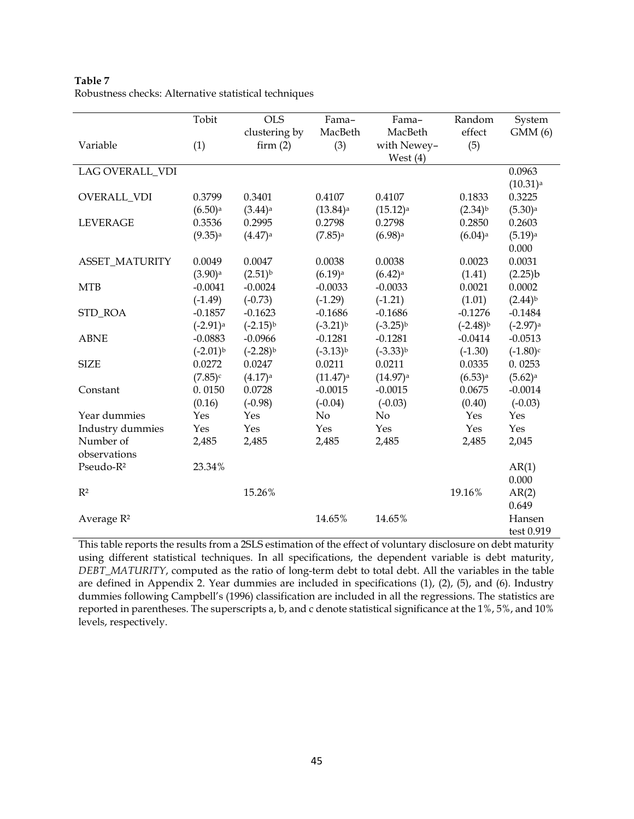|                       | Tobit                  | <b>OLS</b>            | Fama-                  | Fama-                  | Random                | System                 |
|-----------------------|------------------------|-----------------------|------------------------|------------------------|-----------------------|------------------------|
|                       |                        | clustering by         | MacBeth                | MacBeth                | effect                | GMM(6)                 |
| Variable              | (1)                    | firm(2)               | (3)                    | with Newey-            | (5)                   |                        |
|                       |                        |                       |                        | West $(4)$             |                       |                        |
| LAG OVERALL_VDI       |                        |                       |                        |                        |                       | 0.0963                 |
|                       |                        |                       |                        |                        |                       | $(10.31)$ <sup>a</sup> |
| <b>OVERALL_VDI</b>    | 0.3799                 | 0.3401                | 0.4107                 | 0.4107                 | 0.1833                | 0.3225                 |
|                       | $(6.50)$ <sup>a</sup>  | $(3.44)$ <sup>a</sup> | $(13.84)$ <sup>a</sup> | $(15.12)$ <sup>a</sup> | $(2.34)^{b}$          | $(5.30)$ <sup>a</sup>  |
| <b>LEVERAGE</b>       | 0.3536                 | 0.2995                | 0.2798                 | 0.2798                 | 0.2850                | 0.2603                 |
|                       | $(9.35)$ <sup>a</sup>  | $(4.47)$ <sup>a</sup> | $(7.85)$ <sup>a</sup>  | $(6.98)$ <sup>a</sup>  | $(6.04)$ <sup>a</sup> | $(5.19)$ <sup>a</sup>  |
|                       |                        |                       |                        |                        |                       | 0.000                  |
| <b>ASSET_MATURITY</b> | 0.0049                 | 0.0047                | 0.0038                 | 0.0038                 | 0.0023                | 0.0031                 |
|                       | $(3.90)$ <sup>a</sup>  | $(2.51)^{b}$          | $(6.19)$ <sup>a</sup>  | $(6.42)$ <sup>a</sup>  | (1.41)                | (2.25)b                |
| <b>MTB</b>            | $-0.0041$              | $-0.0024$             | $-0.0033$              | $-0.0033$              | 0.0021                | 0.0002                 |
|                       | $(-1.49)$              | $(-0.73)$             | $(-1.29)$              | $(-1.21)$              | (1.01)                | $(2.44)^{b}$           |
| STD_ROA               | $-0.1857$              | $-0.1623$             | $-0.1686$              | $-0.1686$              | $-0.1276$             | $-0.1484$              |
|                       | $(-2.91)$ <sup>a</sup> | $(-2.15)^{b}$         | $(-3.21)^{b}$          | $(-3.25)^{b}$          | $(-2.48)^{b}$         | $(-2.97)$ <sup>a</sup> |
| <b>ABNE</b>           | $-0.0883$              | $-0.0966$             | $-0.1281$              | $-0.1281$              | $-0.0414$             | $-0.0513$              |
|                       | $(-2.01)^{b}$          | $(-2.28)^{b}$         | $(-3.13)^{b}$          | $(-3.33)^{b}$          | $(-1.30)$             | $(-1.80)$ c            |
| <b>SIZE</b>           | 0.0272                 | 0.0247                | 0.0211                 | 0.0211                 | 0.0335                | 0.0253                 |
|                       | $(7.85)^c$             | $(4.17)$ <sup>a</sup> | $(11.47)$ <sup>a</sup> | $(14.97)$ <sup>a</sup> | $(6.53)$ <sup>a</sup> | $(5.62)^a$             |
| Constant              | 0.0150                 | 0.0728                | $-0.0015$              | $-0.0015$              | 0.0675                | $-0.0014$              |
|                       | (0.16)                 | $(-0.98)$             | $(-0.04)$              | $(-0.03)$              | (0.40)                | $(-0.03)$              |
| Year dummies          | Yes                    | Yes                   | No                     | No                     | Yes                   | Yes                    |
| Industry dummies      | Yes                    | Yes                   | Yes                    | Yes                    | Yes                   | Yes                    |
| Number of             | 2,485                  | 2,485                 | 2,485                  | 2,485                  | 2,485                 | 2,045                  |
| observations          |                        |                       |                        |                        |                       |                        |
| Pseudo-R <sup>2</sup> | 23.34%                 |                       |                        |                        |                       | AR(1)                  |
|                       |                        |                       |                        |                        |                       | 0.000                  |
| $R^2$                 |                        | 15.26%                |                        |                        | 19.16%                | AR(2)                  |
|                       |                        |                       |                        |                        |                       | 0.649                  |
| Average $R^2$         |                        |                       | 14.65%                 | 14.65%                 |                       | Hansen                 |
|                       |                        |                       |                        |                        |                       | test 0.919             |

**Table 7** Robustness checks: Alternative statistical techniques

This table reports the results from a 2SLS estimation of the effect of voluntary disclosure on debt maturity using different statistical techniques. In all specifications, the dependent variable is debt maturity, *DEBT\_MATURITY*, computed as the ratio of long-term debt to total debt. All the variables in the table are defined in Appendix 2. Year dummies are included in specifications (1), (2), (5), and (6). Industry dummies following Campbell's (1996) classification are included in all the regressions. The statistics are reported in parentheses. The superscripts a, b, and c denote statistical significance at the 1%, 5%, and 10% levels, respectively.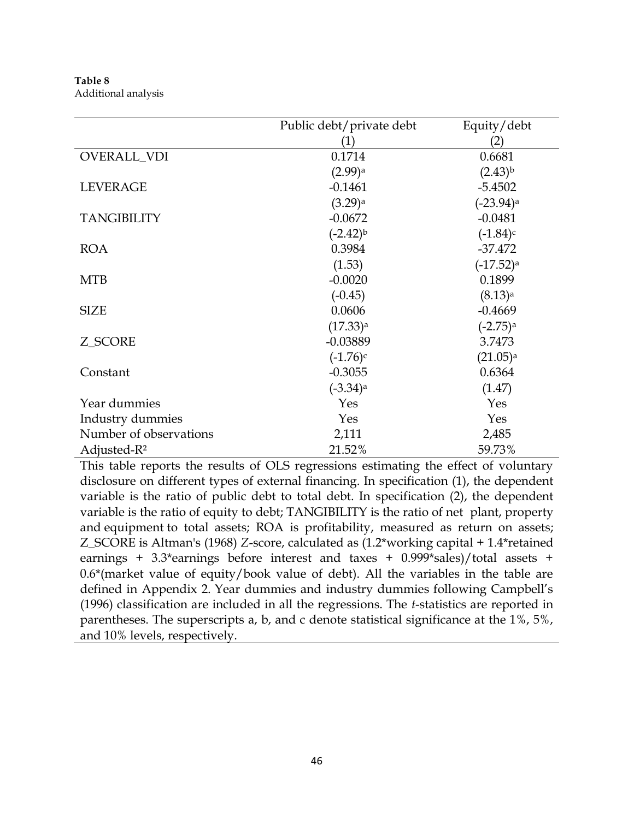**Table 8** Additional analysis

|                         | Public debt/private debt | Equity/debt             |
|-------------------------|--------------------------|-------------------------|
|                         | (1)                      | (2)                     |
| OVERALL_VDI             | 0.1714                   | 0.6681                  |
|                         | $(2.99)$ <sup>a</sup>    | $(2.43)^{b}$            |
| <b>LEVERAGE</b>         | $-0.1461$                | $-5.4502$               |
|                         | $(3.29)$ <sup>a</sup>    | $(-23.94)$ <sup>a</sup> |
| <b>TANGIBILITY</b>      | $-0.0672$                | $-0.0481$               |
|                         | $(-2.42)^{b}$            | $(-1.84)$ c             |
| <b>ROA</b>              | 0.3984                   | $-37.472$               |
|                         | (1.53)                   | $(-17.52)$ <sup>a</sup> |
| <b>MTB</b>              | $-0.0020$                | 0.1899                  |
|                         | $(-0.45)$                | $(8.13)$ <sup>a</sup>   |
| <b>SIZE</b>             | 0.0606                   | $-0.4669$               |
|                         | $(17.33)$ <sup>a</sup>   | $(-2.75)$ <sup>a</sup>  |
| Z_SCORE                 | $-0.03889$               | 3.7473                  |
|                         | $(-1.76)$ c              | $(21.05)$ <sup>a</sup>  |
| Constant                | $-0.3055$                | 0.6364                  |
|                         | $(-3.34)$ <sup>a</sup>   | (1.47)                  |
| Year dummies            | Yes                      | Yes                     |
| Industry dummies        | Yes                      | Yes                     |
| Number of observations  | 2,111                    | 2,485                   |
| Adjusted-R <sup>2</sup> | 21.52%                   | 59.73%                  |

This table reports the results of OLS regressions estimating the effect of voluntary disclosure on different types of external financing. In specification (1), the dependent variable is the ratio of public debt to total debt. In specification (2), the dependent variable is the ratio of equity to debt; TANGIBILITY is the ratio of net plant, property and equipment to total assets; ROA is profitability, measured as return on assets; Z\_SCORE is Altman's (1968) *Z*-score, calculated as (1.2\*working capital + 1.4\*retained earnings + 3.3\*earnings before interest and taxes + 0.999\*sales)/total assets + 0.6\*(market value of equity/book value of debt). All the variables in the table are defined in Appendix 2. Year dummies and industry dummies following Campbell's (1996) classification are included in all the regressions. The *t*-statistics are reported in parentheses. The superscripts a, b, and c denote statistical significance at the 1%, 5%, and 10% levels, respectively.